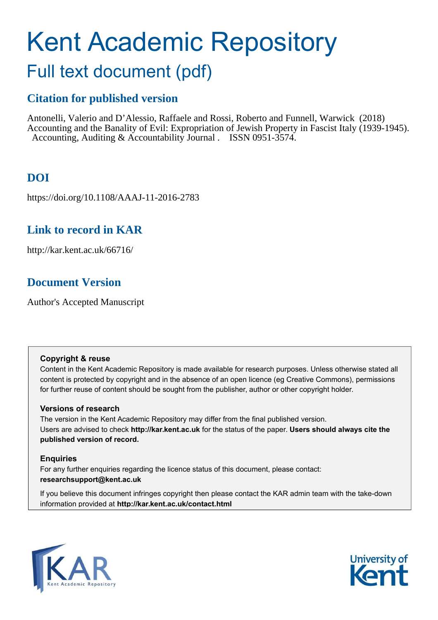# Kent Academic Repository

## Full text document (pdf)

## **Citation for published version**

Antonelli, Valerio and D'Alessio, Raffaele and Rossi, Roberto and Funnell, Warwick (2018) Accounting and the Banality of Evil: Expropriation of Jewish Property in Fascist Italy (1939-1945). Accounting, Auditing & Accountability Journal . ISSN 0951-3574.

## **DOI**

https://doi.org/10.1108/AAAJ-11-2016-2783

## **Link to record in KAR**

http://kar.kent.ac.uk/66716/

## **Document Version**

Author's Accepted Manuscript

#### **Copyright & reuse**

Content in the Kent Academic Repository is made available for research purposes. Unless otherwise stated all content is protected by copyright and in the absence of an open licence (eg Creative Commons), permissions for further reuse of content should be sought from the publisher, author or other copyright holder.

#### **Versions of research**

The version in the Kent Academic Repository may differ from the final published version. Users are advised to check **http://kar.kent.ac.uk** for the status of the paper. **Users should always cite the published version of record.**

#### **Enquiries**

For any further enquiries regarding the licence status of this document, please contact: **researchsupport@kent.ac.uk**

If you believe this document infringes copyright then please contact the KAR admin team with the take-down information provided at **http://kar.kent.ac.uk/contact.html**



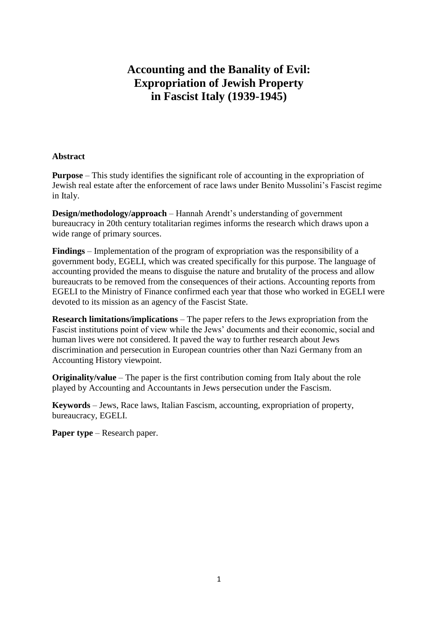### **Accounting and the Banality of Evil: Expropriation of Jewish Property in Fascist Italy (1939-1945)**

#### **Abstract**

**Purpose** – This study identifies the significant role of accounting in the expropriation of Jewish real estate after the enforcement of race laws under Benito Mussolini's Fascist regime in Italy.

**Design/methodology/approach** – Hannah Arendt's understanding of government bureaucracy in 20th century totalitarian regimes informs the research which draws upon a wide range of primary sources.

**Findings** – Implementation of the program of expropriation was the responsibility of a government body, EGELI, which was created specifically for this purpose. The language of accounting provided the means to disguise the nature and brutality of the process and allow bureaucrats to be removed from the consequences of their actions. Accounting reports from EGELI to the Ministry of Finance confirmed each year that those who worked in EGELI were devoted to its mission as an agency of the Fascist State.

**Research limitations/implications** – The paper refers to the Jews expropriation from the Fascist institutions point of view while the Jews' documents and their economic, social and human lives were not considered. It paved the way to further research about Jews discrimination and persecution in European countries other than Nazi Germany from an Accounting History viewpoint.

**Originality/value** – The paper is the first contribution coming from Italy about the role played by Accounting and Accountants in Jews persecution under the Fascism.

**Keywords** – Jews, Race laws, Italian Fascism, accounting, expropriation of property, bureaucracy, EGELI.

**Paper type** – Research paper.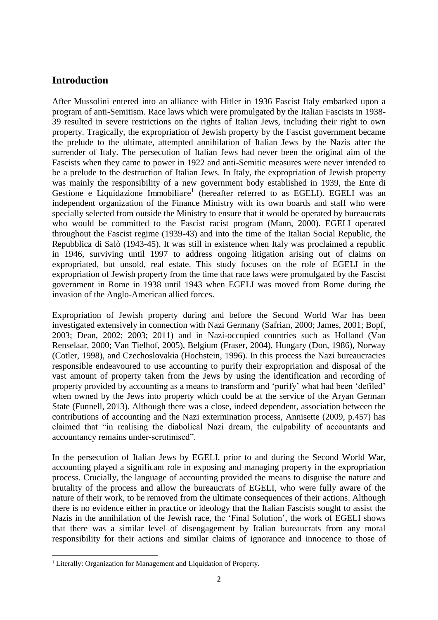#### **Introduction**

After Mussolini entered into an alliance with Hitler in 1936 Fascist Italy embarked upon a program of anti-Semitism. Race laws which were promulgated by the Italian Fascists in 1938- 39 resulted in severe restrictions on the rights of Italian Jews, including their right to own property. Tragically, the expropriation of Jewish property by the Fascist government became the prelude to the ultimate, attempted annihilation of Italian Jews by the Nazis after the surrender of Italy. The persecution of Italian Jews had never been the original aim of the Fascists when they came to power in 1922 and anti-Semitic measures were never intended to be a prelude to the destruction of Italian Jews. In Italy, the expropriation of Jewish property was mainly the responsibility of a new government body established in 1939, the Ente di Gestione e Liquidazione Immobiliare<sup>1</sup> (hereafter referred to as EGELI). EGELI was an independent organization of the Finance Ministry with its own boards and staff who were specially selected from outside the Ministry to ensure that it would be operated by bureaucrats who would be committed to the Fascist racist program (Mann, 2000). EGELI operated throughout the Fascist regime (1939-43) and into the time of the Italian Social Republic, the Repubblica di Salò (1943-45). It was still in existence when Italy was proclaimed a republic in 1946, surviving until 1997 to address ongoing litigation arising out of claims on expropriated, but unsold, real estate. This study focuses on the role of EGELI in the expropriation of Jewish property from the time that race laws were promulgated by the Fascist government in Rome in 1938 until 1943 when EGELI was moved from Rome during the invasion of the Anglo-American allied forces.

Expropriation of Jewish property during and before the Second World War has been investigated extensively in connection with Nazi Germany (Safrian, 2000; James, 2001; Bopf, 2003; Dean, 2002; 2003; 2011) and in Nazi-occupied countries such as Holland (Van Renselaar, 2000; Van Tielhof, 2005), Belgium (Fraser, 2004), Hungary (Don, 1986), Norway (Cotler, 1998), and Czechoslovakia (Hochstein, 1996). In this process the Nazi bureaucracies responsible endeavoured to use accounting to purify their expropriation and disposal of the vast amount of property taken from the Jews by using the identification and recording of property provided by accounting as a means to transform and 'purify' what had been 'defiled' when owned by the Jews into property which could be at the service of the Aryan German State (Funnell, 2013). Although there was a close, indeed dependent, association between the contributions of accounting and the Nazi extermination process, Annisette (2009, p.457) has claimed that "in realising the diabolical Nazi dream, the culpability of accountants and accountancy remains under-scrutinised".

In the persecution of Italian Jews by EGELI, prior to and during the Second World War, accounting played a significant role in exposing and managing property in the expropriation process. Crucially, the language of accounting provided the means to disguise the nature and brutality of the process and allow the bureaucrats of EGELI, who were fully aware of the nature of their work, to be removed from the ultimate consequences of their actions. Although there is no evidence either in practice or ideology that the Italian Fascists sought to assist the Nazis in the annihilation of the Jewish race, the 'Final Solution', the work of EGELI shows that there was a similar level of disengagement by Italian bureaucrats from any moral responsibility for their actions and similar claims of ignorance and innocence to those of

 $\overline{a}$ 

<sup>&</sup>lt;sup>1</sup> Literally: Organization for Management and Liquidation of Property.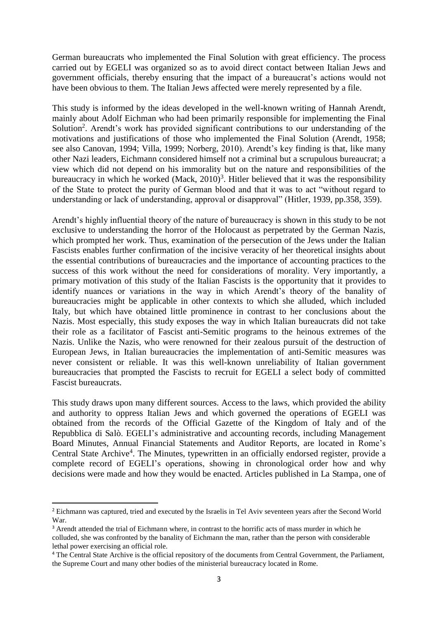German bureaucrats who implemented the Final Solution with great efficiency. The process carried out by EGELI was organized so as to avoid direct contact between Italian Jews and government officials, thereby ensuring that the impact of a bureaucrat's actions would not have been obvious to them. The Italian Jews affected were merely represented by a file.

This study is informed by the ideas developed in the well-known writing of Hannah Arendt, mainly about Adolf Eichman who had been primarily responsible for implementing the Final Solution<sup>2</sup>. Arendt's work has provided significant contributions to our understanding of the motivations and justifications of those who implemented the Final Solution (Arendt, 1958; see also Canovan, 1994; Villa, 1999; Norberg, 2010). Arendt's key finding is that, like many other Nazi leaders, Eichmann considered himself not a criminal but a scrupulous bureaucrat; a view which did not depend on his immorality but on the nature and responsibilities of the bureaucracy in which he worked (Mack,  $2010$ )<sup>3</sup>. Hitler believed that it was the responsibility of the State to protect the purity of German blood and that it was to act "without regard to understanding or lack of understanding, approval or disapproval" (Hitler, 1939, pp.358, 359).

Arendt's highly influential theory of the nature of bureaucracy is shown in this study to be not exclusive to understanding the horror of the Holocaust as perpetrated by the German Nazis, which prompted her work. Thus, examination of the persecution of the Jews under the Italian Fascists enables further confirmation of the incisive veracity of her theoretical insights about the essential contributions of bureaucracies and the importance of accounting practices to the success of this work without the need for considerations of morality. Very importantly, a primary motivation of this study of the Italian Fascists is the opportunity that it provides to identify nuances or variations in the way in which Arendt's theory of the banality of bureaucracies might be applicable in other contexts to which she alluded, which included Italy, but which have obtained little prominence in contrast to her conclusions about the Nazis. Most especially, this study exposes the way in which Italian bureaucrats did not take their role as a facilitator of Fascist anti-Semitic programs to the heinous extremes of the Nazis. Unlike the Nazis, who were renowned for their zealous pursuit of the destruction of European Jews, in Italian bureaucracies the implementation of anti-Semitic measures was never consistent or reliable. It was this well-known unreliability of Italian government bureaucracies that prompted the Fascists to recruit for EGELI a select body of committed Fascist bureaucrats.

This study draws upon many different sources. Access to the laws, which provided the ability and authority to oppress Italian Jews and which governed the operations of EGELI was obtained from the records of the Official Gazette of the Kingdom of Italy and of the Repubblica di Salò. EGELI's administrative and accounting records, including Management Board Minutes, Annual Financial Statements and Auditor Reports, are located in Rome's Central State Archive<sup>4</sup>. The Minutes, typewritten in an officially endorsed register, provide a complete record of EGELI's operations, showing in chronological order how and why decisions were made and how they would be enacted. Articles published in La Stampa, one of

<sup>&</sup>lt;sup>2</sup> Eichmann was captured, tried and executed by the Israelis in Tel Aviv seventeen years after the Second World War.

<sup>&</sup>lt;sup>3</sup> Arendt attended the trial of Eichmann where, in contrast to the horrific acts of mass murder in which he colluded, she was confronted by the banality of Eichmann the man, rather than the person with considerable lethal power exercising an official role.

<sup>&</sup>lt;sup>4</sup> The Central State Archive is the official repository of the documents from Central Government, the Parliament, the Supreme Court and many other bodies of the ministerial bureaucracy located in Rome.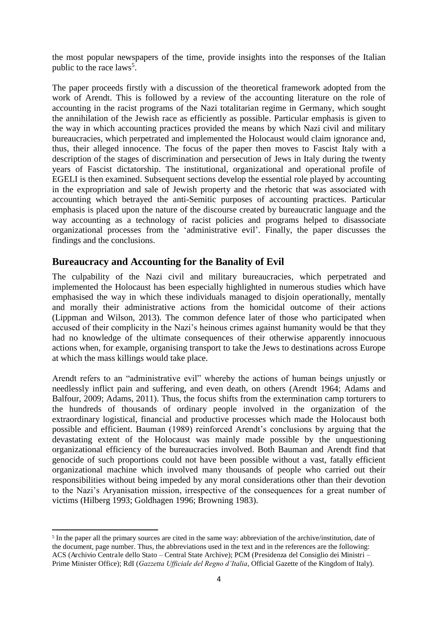the most popular newspapers of the time, provide insights into the responses of the Italian public to the race laws<sup>5</sup>.

The paper proceeds firstly with a discussion of the theoretical framework adopted from the work of Arendt. This is followed by a review of the accounting literature on the role of accounting in the racist programs of the Nazi totalitarian regime in Germany, which sought the annihilation of the Jewish race as efficiently as possible. Particular emphasis is given to the way in which accounting practices provided the means by which Nazi civil and military bureaucracies, which perpetrated and implemented the Holocaust would claim ignorance and, thus, their alleged innocence. The focus of the paper then moves to Fascist Italy with a description of the stages of discrimination and persecution of Jews in Italy during the twenty years of Fascist dictatorship. The institutional, organizational and operational profile of EGELI is then examined. Subsequent sections develop the essential role played by accounting in the expropriation and sale of Jewish property and the rhetoric that was associated with accounting which betrayed the anti-Semitic purposes of accounting practices. Particular emphasis is placed upon the nature of the discourse created by bureaucratic language and the way accounting as a technology of racist policies and programs helped to disassociate organizational processes from the 'administrative evil'. Finally, the paper discusses the findings and the conclusions.

#### **Bureaucracy and Accounting for the Banality of Evil**

The culpability of the Nazi civil and military bureaucracies, which perpetrated and implemented the Holocaust has been especially highlighted in numerous studies which have emphasised the way in which these individuals managed to disjoin operationally, mentally and morally their administrative actions from the homicidal outcome of their actions (Lippman and Wilson, 2013). The common defence later of those who participated when accused of their complicity in the Nazi's heinous crimes against humanity would be that they had no knowledge of the ultimate consequences of their otherwise apparently innocuous actions when, for example, organising transport to take the Jews to destinations across Europe at which the mass killings would take place.

Arendt refers to an "administrative evil" whereby the actions of human beings unjustly or needlessly inflict pain and suffering, and even death, on others (Arendt 1964; Adams and Balfour, 2009; Adams, 2011). Thus, the focus shifts from the extermination camp torturers to the hundreds of thousands of ordinary people involved in the organization of the extraordinary logistical, financial and productive processes which made the Holocaust both possible and efficient. Bauman (1989) reinforced Arendt's conclusions by arguing that the devastating extent of the Holocaust was mainly made possible by the unquestioning organizational efficiency of the bureaucracies involved. Both Bauman and Arendt find that genocide of such proportions could not have been possible without a vast, fatally efficient organizational machine which involved many thousands of people who carried out their responsibilities without being impeded by any moral considerations other than their devotion to the Nazi's Aryanisation mission, irrespective of the consequences for a great number of victims (Hilberg 1993; Goldhagen 1996; Browning 1983).

<sup>&</sup>lt;sup>5</sup> In the paper all the primary sources are cited in the same way: abbreviation of the archive/institution, date of the document, page number. Thus, the abbreviations used in the text and in the references are the following: ACS (Archivio Centrale dello Stato – Central State Archive); PCM (Presidenza del Consiglio dei Ministri – Prime Minister Office); RdI (*Gazzetta Ufficiale del Regno d'Italia*, Official Gazette of the Kingdom of Italy).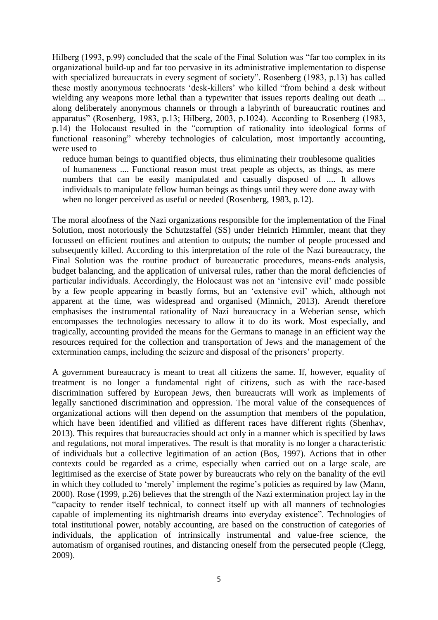Hilberg (1993, p.99) concluded that the scale of the Final Solution was "far too complex in its organizational build-up and far too pervasive in its administrative implementation to dispense with specialized bureaucrats in every segment of society". Rosenberg (1983, p.13) has called these mostly anonymous technocrats 'desk-killers' who killed "from behind a desk without wielding any weapons more lethal than a typewriter that issues reports dealing out death ... along deliberately anonymous channels or through a labyrinth of bureaucratic routines and apparatus" (Rosenberg, 1983, p.13; Hilberg, 2003, p.1024). According to Rosenberg (1983, p.14) the Holocaust resulted in the "corruption of rationality into ideological forms of functional reasoning" whereby technologies of calculation, most importantly accounting, were used to

reduce human beings to quantified objects, thus eliminating their troublesome qualities of humaneness .... Functional reason must treat people as objects, as things, as mere numbers that can be easily manipulated and casually disposed of .... It allows individuals to manipulate fellow human beings as things until they were done away with when no longer perceived as useful or needed (Rosenberg, 1983, p.12).

The moral aloofness of the Nazi organizations responsible for the implementation of the Final Solution, most notoriously the Schutzstaffel (SS) under Heinrich Himmler, meant that they focussed on efficient routines and attention to outputs; the number of people processed and subsequently killed. According to this interpretation of the role of the Nazi bureaucracy, the Final Solution was the routine product of bureaucratic procedures, means-ends analysis, budget balancing, and the application of universal rules, rather than the moral deficiencies of particular individuals. Accordingly, the Holocaust was not an 'intensive evil' made possible by a few people appearing in beastly forms, but an 'extensive evil' which, although not apparent at the time, was widespread and organised (Minnich, 2013). Arendt therefore emphasises the instrumental rationality of Nazi bureaucracy in a Weberian sense, which encompasses the technologies necessary to allow it to do its work. Most especially, and tragically, accounting provided the means for the Germans to manage in an efficient way the resources required for the collection and transportation of Jews and the management of the extermination camps, including the seizure and disposal of the prisoners' property.

A government bureaucracy is meant to treat all citizens the same. If, however, equality of treatment is no longer a fundamental right of citizens, such as with the race-based discrimination suffered by European Jews, then bureaucrats will work as implements of legally sanctioned discrimination and oppression. The moral value of the consequences of organizational actions will then depend on the assumption that members of the population, which have been identified and vilified as different races have different rights (Shenhav, 2013). This requires that bureaucracies should act only in a manner which is specified by laws and regulations, not moral imperatives. The result is that morality is no longer a characteristic of individuals but a collective legitimation of an action (Bos, 1997). Actions that in other contexts could be regarded as a crime, especially when carried out on a large scale, are legitimised as the exercise of State power by bureaucrats who rely on the banality of the evil in which they colluded to 'merely' implement the regime's policies as required by law (Mann, 2000). Rose (1999, p.26) believes that the strength of the Nazi extermination project lay in the "capacity to render itself technical, to connect itself up with all manners of technologies capable of implementing its nightmarish dreams into everyday existence". Technologies of total institutional power, notably accounting, are based on the construction of categories of individuals, the application of intrinsically instrumental and value-free science, the automatism of organised routines, and distancing oneself from the persecuted people (Clegg, 2009).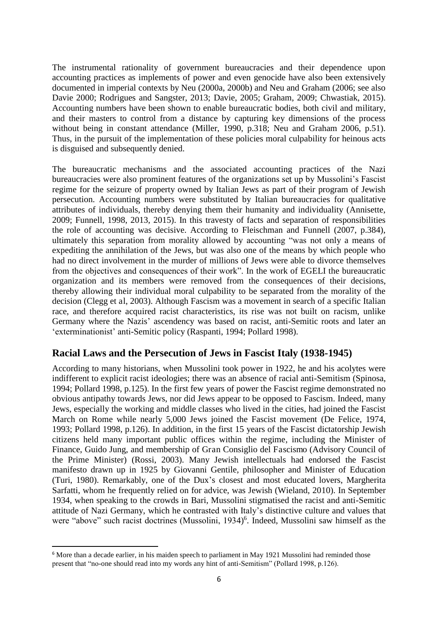The instrumental rationality of government bureaucracies and their dependence upon accounting practices as implements of power and even genocide have also been extensively documented in imperial contexts by Neu (2000a, 2000b) and Neu and Graham (2006; see also Davie 2000; Rodrigues and Sangster, 2013; Davie, 2005; Graham, 2009; Chwastiak, 2015). Accounting numbers have been shown to enable bureaucratic bodies, both civil and military, and their masters to control from a distance by capturing key dimensions of the process without being in constant attendance (Miller, 1990, p.318; Neu and Graham 2006, p.51). Thus, in the pursuit of the implementation of these policies moral culpability for heinous acts is disguised and subsequently denied.

The bureaucratic mechanisms and the associated accounting practices of the Nazi bureaucracies were also prominent features of the organizations set up by Mussolini's Fascist regime for the seizure of property owned by Italian Jews as part of their program of Jewish persecution. Accounting numbers were substituted by Italian bureaucracies for qualitative attributes of individuals, thereby denying them their humanity and individuality (Annisette, 2009; Funnell, 1998, 2013, 2015). In this travesty of facts and separation of responsibilities the role of accounting was decisive. According to Fleischman and Funnell (2007, p.384), ultimately this separation from morality allowed by accounting "was not only a means of expediting the annihilation of the Jews, but was also one of the means by which people who had no direct involvement in the murder of millions of Jews were able to divorce themselves from the objectives and consequences of their work". In the work of EGELI the bureaucratic organization and its members were removed from the consequences of their decisions, thereby allowing their individual moral culpability to be separated from the morality of the decision (Clegg et al, 2003). Although Fascism was a movement in search of a specific Italian race, and therefore acquired racist characteristics, its rise was not built on racism, unlike Germany where the Nazis' ascendency was based on racist, anti-Semitic roots and later an 'exterminationist' anti-Semitic policy (Raspanti, 1994; Pollard 1998).

#### **Racial Laws and the Persecution of Jews in Fascist Italy (1938-1945)**

According to many historians, when Mussolini took power in 1922, he and his acolytes were indifferent to explicit racist ideologies; there was an absence of racial anti-Semitism (Spinosa, 1994; Pollard 1998, p.125). In the first few years of power the Fascist regime demonstrated no obvious antipathy towards Jews, nor did Jews appear to be opposed to Fascism. Indeed, many Jews, especially the working and middle classes who lived in the cities, had joined the Fascist March on Rome while nearly 5,000 Jews joined the Fascist movement (De Felice, 1974, 1993; Pollard 1998, p.126). In addition, in the first 15 years of the Fascist dictatorship Jewish citizens held many important public offices within the regime, including the Minister of Finance, Guido Jung, and membership of Gran Consiglio del Fascismo (Advisory Council of the Prime Minister) (Rossi, 2003). Many Jewish intellectuals had endorsed the Fascist manifesto drawn up in 1925 by Giovanni Gentile, philosopher and Minister of Education (Turi, 1980). Remarkably, one of the Dux's closest and most educated lovers, Margherita Sarfatti, whom he frequently relied on for advice, was Jewish (Wieland, 2010). In September 1934, when speaking to the crowds in Bari, Mussolini stigmatised the racist and anti-Semitic attitude of Nazi Germany, which he contrasted with Italy's distinctive culture and values that were "above" such racist doctrines (Mussolini, 1934)<sup>6</sup>. Indeed, Mussolini saw himself as the

 $\overline{a}$ 

<sup>&</sup>lt;sup>6</sup> More than a decade earlier, in his maiden speech to parliament in May 1921 Mussolini had reminded those present that "no-one should read into my words any hint of anti-Semitism" (Pollard 1998, p.126).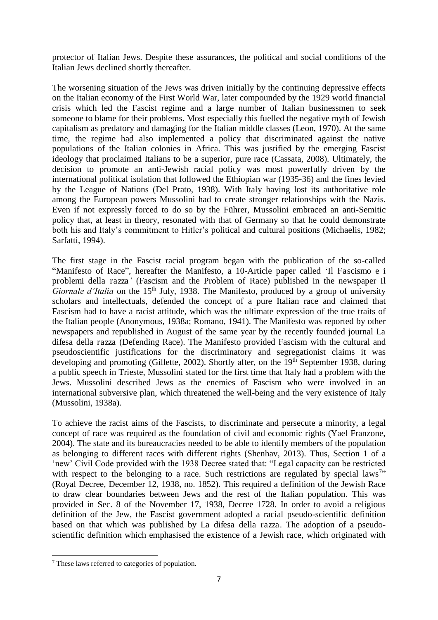protector of Italian Jews. Despite these assurances, the political and social conditions of the Italian Jews declined shortly thereafter.

The worsening situation of the Jews was driven initially by the continuing depressive effects on the Italian economy of the First World War, later compounded by the 1929 world financial crisis which led the Fascist regime and a large number of Italian businessmen to seek someone to blame for their problems. Most especially this fuelled the negative myth of Jewish capitalism as predatory and damaging for the Italian middle classes (Leon, 1970). At the same time, the regime had also implemented a policy that discriminated against the native populations of the Italian colonies in Africa. This was justified by the emerging Fascist ideology that proclaimed Italians to be a superior, pure race (Cassata, 2008). Ultimately, the decision to promote an anti-Jewish racial policy was most powerfully driven by the international political isolation that followed the Ethiopian war (1935-36) and the fines levied by the League of Nations (Del Prato, 1938). With Italy having lost its authoritative role among the European powers Mussolini had to create stronger relationships with the Nazis. Even if not expressly forced to do so by the Führer, Mussolini embraced an anti-Semitic policy that, at least in theory, resonated with that of Germany so that he could demonstrate both his and Italy's commitment to Hitler's political and cultural positions (Michaelis, 1982; Sarfatti, 1994).

The first stage in the Fascist racial program began with the publication of the so-called "Manifesto of Race", hereafter the Manifesto, a 10-Article paper called 'Il Fascismo e i problemi della razza*'* (Fascism and the Problem of Race) published in the newspaper Il *Giornale d'Italia* on the 15<sup>th</sup> July, 1938. The Manifesto, produced by a group of university scholars and intellectuals, defended the concept of a pure Italian race and claimed that Fascism had to have a racist attitude, which was the ultimate expression of the true traits of the Italian people (Anonymous, 1938a; Romano, 1941). The Manifesto was reported by other newspapers and republished in August of the same year by the recently founded journal La difesa della razza (Defending Race). The Manifesto provided Fascism with the cultural and pseudoscientific justifications for the discriminatory and segregationist claims it was developing and promoting (Gillette, 2002). Shortly after, on the 19<sup>th</sup> September 1938, during a public speech in Trieste, Mussolini stated for the first time that Italy had a problem with the Jews. Mussolini described Jews as the enemies of Fascism who were involved in an international subversive plan, which threatened the well-being and the very existence of Italy (Mussolini, 1938a).

To achieve the racist aims of the Fascists, to discriminate and persecute a minority, a legal concept of race was required as the foundation of civil and economic rights (Yael Franzone, 2004). The state and its bureaucracies needed to be able to identify members of the population as belonging to different races with different rights (Shenhav, 2013). Thus, Section 1 of a 'new' Civil Code provided with the 1938 Decree stated that: "Legal capacity can be restricted with respect to the belonging to a race. Such restrictions are regulated by special laws<sup>7</sup>" (Royal Decree, December 12, 1938, no. 1852). This required a definition of the Jewish Race to draw clear boundaries between Jews and the rest of the Italian population. This was provided in Sec. 8 of the November 17, 1938, Decree 1728. In order to avoid a religious definition of the Jew, the Fascist government adopted a racial pseudo-scientific definition based on that which was published by La difesa della razza. The adoption of a pseudoscientific definition which emphasised the existence of a Jewish race, which originated with

 $\overline{a}$ 

<sup>&</sup>lt;sup>7</sup> These laws referred to categories of population.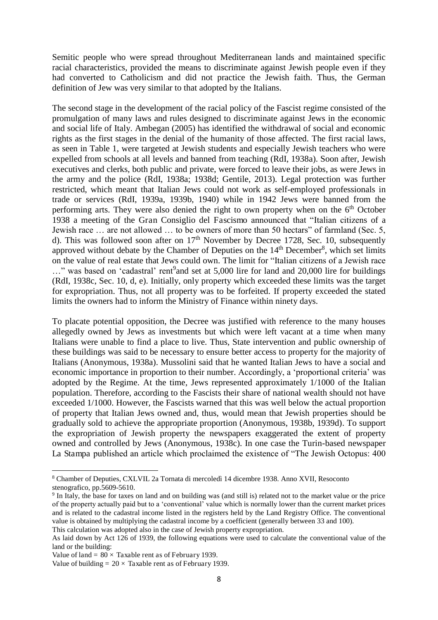Semitic people who were spread throughout Mediterranean lands and maintained specific racial characteristics, provided the means to discriminate against Jewish people even if they had converted to Catholicism and did not practice the Jewish faith. Thus, the German definition of Jew was very similar to that adopted by the Italians.

The second stage in the development of the racial policy of the Fascist regime consisted of the promulgation of many laws and rules designed to discriminate against Jews in the economic and social life of Italy. Ambegan (2005) has identified the withdrawal of social and economic rights as the first stages in the denial of the humanity of those affected. The first racial laws, as seen in Table 1, were targeted at Jewish students and especially Jewish teachers who were expelled from schools at all levels and banned from teaching (RdI, 1938a). Soon after, Jewish executives and clerks, both public and private, were forced to leave their jobs, as were Jews in the army and the police (RdI, 1938a; 1938d; Gentile, 2013). Legal protection was further restricted, which meant that Italian Jews could not work as self-employed professionals in trade or services (RdI, 1939a, 1939b, 1940) while in 1942 Jews were banned from the performing arts. They were also denied the right to own property when on the  $6<sup>th</sup>$  October 1938 a meeting of the Gran Consiglio del Fascismo announced that "Italian citizens of a Jewish race … are not allowed … to be owners of more than 50 hectars" of farmland (Sec. 5, d). This was followed soon after on  $17<sup>th</sup>$  November by Decree 1728, Sec. 10, subsequently approved without debate by the Chamber of Deputies on the  $14<sup>th</sup>$  December<sup>8</sup>, which set limits on the value of real estate that Jews could own. The limit for "Italian citizens of a Jewish race ..." was based on 'cadastral' rent<sup>9</sup>and set at 5,000 lire for land and 20,000 lire for buildings (RdI, 1938c, Sec. 10, d, e). Initially, only property which exceeded these limits was the target for expropriation. Thus, not all property was to be forfeited. If property exceeded the stated limits the owners had to inform the Ministry of Finance within ninety days.

To placate potential opposition, the Decree was justified with reference to the many houses allegedly owned by Jews as investments but which were left vacant at a time when many Italians were unable to find a place to live. Thus, State intervention and public ownership of these buildings was said to be necessary to ensure better access to property for the majority of Italians (Anonymous, 1938a). Mussolini said that he wanted Italian Jews to have a social and economic importance in proportion to their number. Accordingly, a 'proportional criteria' was adopted by the Regime. At the time, Jews represented approximately 1/1000 of the Italian population. Therefore, according to the Fascists their share of national wealth should not have exceeded 1/1000. However, the Fascists warned that this was well below the actual proportion of property that Italian Jews owned and, thus, would mean that Jewish properties should be gradually sold to achieve the appropriate proportion (Anonymous, 1938b, 1939d). To support the expropriation of Jewish property the newspapers exaggerated the extent of property owned and controlled by Jews (Anonymous, 1938c). In one case the Turin-based newspaper La Stampa published an article which proclaimed the existence of "The Jewish Octopus: 400

```
This calculation was adopted also in the case of Jewish property expropriation.
```
<sup>8</sup> Chamber of Deputies, CXLVIL 2a Tornata di mercoledì 14 dicembre 1938. Anno XVII, Resoconto stenografico, pp.5609-5610.

<sup>&</sup>lt;sup>9</sup> In Italy, the base for taxes on land and on building was (and still is) related not to the market value or the price of the property actually paid but to a 'conventional' value which is normally lower than the current market prices and is related to the cadastral income listed in the registers held by the Land Registry Office. The conventional value is obtained by multiplying the cadastral income by a coefficient (generally between 33 and 100).

As laid down by Act 126 of 1939, the following equations were used to calculate the conventional value of the land or the building:

Value of land =  $80 \times$  Taxable rent as of February 1939.

Value of building  $= 20 \times$  Taxable rent as of February 1939.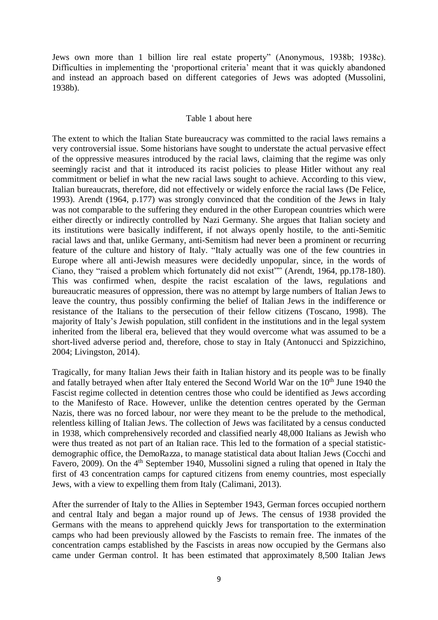Jews own more than 1 billion lire real estate property" (Anonymous, 1938b; 1938c). Difficulties in implementing the 'proportional criteria' meant that it was quickly abandoned and instead an approach based on different categories of Jews was adopted (Mussolini, 1938b).

#### Table 1 about here

The extent to which the Italian State bureaucracy was committed to the racial laws remains a very controversial issue. Some historians have sought to understate the actual pervasive effect of the oppressive measures introduced by the racial laws, claiming that the regime was only seemingly racist and that it introduced its racist policies to please Hitler without any real commitment or belief in what the new racial laws sought to achieve. According to this view, Italian bureaucrats, therefore, did not effectively or widely enforce the racial laws (De Felice, 1993). Arendt (1964, p.177) was strongly convinced that the condition of the Jews in Italy was not comparable to the suffering they endured in the other European countries which were either directly or indirectly controlled by Nazi Germany. She argues that Italian society and its institutions were basically indifferent, if not always openly hostile, to the anti-Semitic racial laws and that, unlike Germany, anti-Semitism had never been a prominent or recurring feature of the culture and history of Italy. "Italy actually was one of the few countries in Europe where all anti-Jewish measures were decidedly unpopular, since, in the words of Ciano, they "raised a problem which fortunately did not exist"" (Arendt, 1964, pp.178-180). This was confirmed when, despite the racist escalation of the laws, regulations and bureaucratic measures of oppression, there was no attempt by large numbers of Italian Jews to leave the country, thus possibly confirming the belief of Italian Jews in the indifference or resistance of the Italians to the persecution of their fellow citizens (Toscano, 1998). The majority of Italy's Jewish population, still confident in the institutions and in the legal system inherited from the liberal era, believed that they would overcome what was assumed to be a short-lived adverse period and, therefore, chose to stay in Italy (Antonucci and Spizzichino, 2004; Livingston, 2014).

Tragically, for many Italian Jews their faith in Italian history and its people was to be finally and fatally betrayed when after Italy entered the Second World War on the 10<sup>th</sup> June 1940 the Fascist regime collected in detention centres those who could be identified as Jews according to the Manifesto of Race. However, unlike the detention centres operated by the German Nazis, there was no forced labour, nor were they meant to be the prelude to the methodical, relentless killing of Italian Jews. The collection of Jews was facilitated by a census conducted in 1938, which comprehensively recorded and classified nearly 48,000 Italians as Jewish who were thus treated as not part of an Italian race. This led to the formation of a special statisticdemographic office, the DemoRazza, to manage statistical data about Italian Jews (Cocchi and Favero, 2009). On the 4<sup>th</sup> September 1940, Mussolini signed a ruling that opened in Italy the first of 43 concentration camps for captured citizens from enemy countries, most especially Jews, with a view to expelling them from Italy (Calimani, 2013).

After the surrender of Italy to the Allies in September 1943, German forces occupied northern and central Italy and began a major round up of Jews. The census of 1938 provided the Germans with the means to apprehend quickly Jews for transportation to the extermination camps who had been previously allowed by the Fascists to remain free. The inmates of the concentration camps established by the Fascists in areas now occupied by the Germans also came under German control. It has been estimated that approximately 8,500 Italian Jews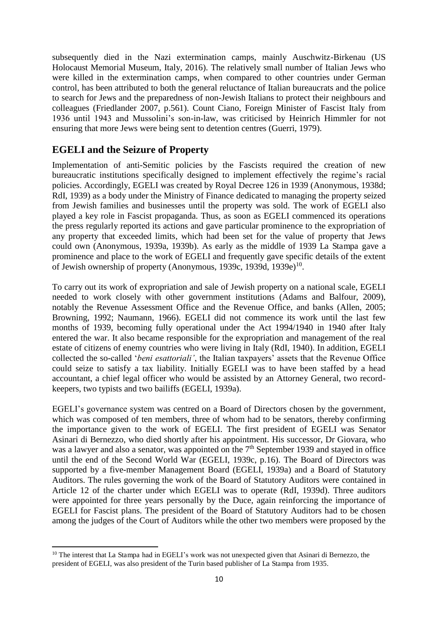subsequently died in the Nazi extermination camps, mainly Auschwitz-Birkenau (US Holocaust Memorial Museum, Italy, 2016). The relatively small number of Italian Jews who were killed in the extermination camps, when compared to other countries under German control, has been attributed to both the general reluctance of Italian bureaucrats and the police to search for Jews and the preparedness of non-Jewish Italians to protect their neighbours and colleagues (Friedlander 2007, p.561). Count Ciano, Foreign Minister of Fascist Italy from 1936 until 1943 and Mussolini's son-in-law, was criticised by Heinrich Himmler for not ensuring that more Jews were being sent to detention centres (Guerri, 1979).

#### **EGELI and the Seizure of Property**

l

Implementation of anti-Semitic policies by the Fascists required the creation of new bureaucratic institutions specifically designed to implement effectively the regime's racial policies. Accordingly, EGELI was created by Royal Decree 126 in 1939 (Anonymous, 1938d; RdI, 1939) as a body under the Ministry of Finance dedicated to managing the property seized from Jewish families and businesses until the property was sold. The work of EGELI also played a key role in Fascist propaganda. Thus, as soon as EGELI commenced its operations the press regularly reported its actions and gave particular prominence to the expropriation of any property that exceeded limits, which had been set for the value of property that Jews could own (Anonymous, 1939a, 1939b). As early as the middle of 1939 La Stampa gave a prominence and place to the work of EGELI and frequently gave specific details of the extent of Jewish ownership of property (Anonymous, 1939c, 1939d, 1939e)<sup>10</sup>.

To carry out its work of expropriation and sale of Jewish property on a national scale, EGELI needed to work closely with other government institutions (Adams and Balfour, 2009), notably the Revenue Assessment Office and the Revenue Office, and banks (Allen, 2005; Browning, 1992; Naumann, 1966). EGELI did not commence its work until the last few months of 1939, becoming fully operational under the Act 1994/1940 in 1940 after Italy entered the war. It also became responsible for the expropriation and management of the real estate of citizens of enemy countries who were living in Italy (RdI, 1940). In addition, EGELI collected the so-called '*beni esattoriali'*, the Italian taxpayers' assets that the Revenue Office could seize to satisfy a tax liability. Initially EGELI was to have been staffed by a head accountant, a chief legal officer who would be assisted by an Attorney General, two recordkeepers, two typists and two bailiffs (EGELI, 1939a).

EGELI's governance system was centred on a Board of Directors chosen by the government, which was composed of ten members, three of whom had to be senators, thereby confirming the importance given to the work of EGELI. The first president of EGELI was Senator Asinari di Bernezzo, who died shortly after his appointment. His successor, Dr Giovara, who was a lawyer and also a senator, was appointed on the  $7<sup>th</sup>$  September 1939 and stayed in office until the end of the Second World War (EGELI, 1939c, p.16). The Board of Directors was supported by a five-member Management Board (EGELI, 1939a) and a Board of Statutory Auditors. The rules governing the work of the Board of Statutory Auditors were contained in Article 12 of the charter under which EGELI was to operate (RdI, 1939d). Three auditors were appointed for three years personally by the Duce, again reinforcing the importance of EGELI for Fascist plans. The president of the Board of Statutory Auditors had to be chosen among the judges of the Court of Auditors while the other two members were proposed by the

<sup>&</sup>lt;sup>10</sup> The interest that La Stampa had in EGELI's work was not unexpected given that Asinari di Bernezzo, the president of EGELI, was also president of the Turin based publisher of La Stampa from 1935.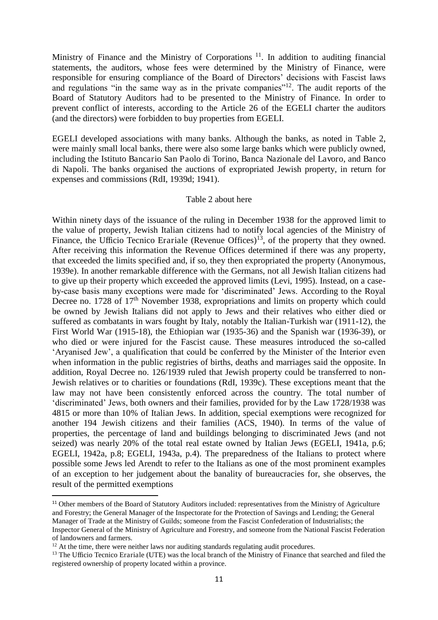Ministry of Finance and the Ministry of Corporations<sup>11</sup>. In addition to auditing financial statements, the auditors, whose fees were determined by the Ministry of Finance, were responsible for ensuring compliance of the Board of Directors' decisions with Fascist laws and regulations "in the same way as in the private companies"<sup>12</sup>. The audit reports of the Board of Statutory Auditors had to be presented to the Ministry of Finance. In order to prevent conflict of interests, according to the Article 26 of the EGELI charter the auditors (and the directors) were forbidden to buy properties from EGELI.

EGELI developed associations with many banks. Although the banks, as noted in Table 2, were mainly small local banks, there were also some large banks which were publicly owned, including the Istituto Bancario San Paolo di Torino, Banca Nazionale del Lavoro, and Banco di Napoli. The banks organised the auctions of expropriated Jewish property, in return for expenses and commissions (RdI, 1939d; 1941).

#### Table 2 about here

Within ninety days of the issuance of the ruling in December 1938 for the approved limit to the value of property, Jewish Italian citizens had to notify local agencies of the Ministry of Finance, the Ufficio Tecnico Erariale (Revenue Offices)<sup>13</sup>, of the property that they owned. After receiving this information the Revenue Offices determined if there was any property, that exceeded the limits specified and, if so, they then expropriated the property (Anonymous, 1939e). In another remarkable difference with the Germans, not all Jewish Italian citizens had to give up their property which exceeded the approved limits (Levi, 1995). Instead, on a caseby-case basis many exceptions were made for 'discriminated' Jews. According to the Royal Decree no. 1728 of 17<sup>th</sup> November 1938, expropriations and limits on property which could be owned by Jewish Italians did not apply to Jews and their relatives who either died or suffered as combatants in wars fought by Italy, notably the Italian-Turkish war (1911-12), the First World War (1915-18), the Ethiopian war (1935-36) and the Spanish war (1936-39), or who died or were injured for the Fascist cause. These measures introduced the so-called 'Aryanised Jew', a qualification that could be conferred by the Minister of the Interior even when information in the public registries of births, deaths and marriages said the opposite. In addition, Royal Decree no. 126/1939 ruled that Jewish property could be transferred to non-Jewish relatives or to charities or foundations (RdI, 1939c). These exceptions meant that the law may not have been consistently enforced across the country. The total number of 'discriminated' Jews, both owners and their families, provided for by the Law 1728/1938 was 4815 or more than 10% of Italian Jews. In addition, special exemptions were recognized for another 194 Jewish citizens and their families (ACS, 1940). In terms of the value of properties, the percentage of land and buildings belonging to discriminated Jews (and not seized) was nearly 20% of the total real estate owned by Italian Jews (EGELI, 1941a, p.6; EGELI, 1942a, p.8; EGELI, 1943a, p.4). The preparedness of the Italians to protect where possible some Jews led Arendt to refer to the Italians as one of the most prominent examples of an exception to her judgement about the banality of bureaucracies for, she observes, the result of the permitted exemptions

 $\overline{a}$ 

<sup>&</sup>lt;sup>11</sup> Other members of the Board of Statutory Auditors included: representatives from the Ministry of Agriculture and Forestry; the General Manager of the Inspectorate for the Protection of Savings and Lending; the General Manager of Trade at the Ministry of Guilds; someone from the Fascist Confederation of Industrialists; the Inspector General of the Ministry of Agriculture and Forestry, and someone from the National Fascist Federation of landowners and farmers.

<sup>&</sup>lt;sup>12</sup> At the time, there were neither laws nor auditing standards regulating audit procedures.

<sup>&</sup>lt;sup>13</sup> The Ufficio Tecnico Erariale (UTE) was the local branch of the Ministry of Finance that searched and filed the registered ownership of property located within a province.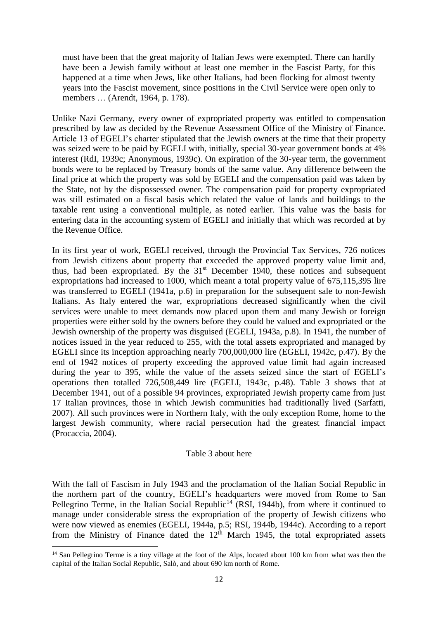must have been that the great majority of Italian Jews were exempted. There can hardly have been a Jewish family without at least one member in the Fascist Party, for this happened at a time when Jews, like other Italians, had been flocking for almost twenty years into the Fascist movement, since positions in the Civil Service were open only to members … (Arendt, 1964, p. 178).

Unlike Nazi Germany, every owner of expropriated property was entitled to compensation prescribed by law as decided by the Revenue Assessment Office of the Ministry of Finance. Article 13 of EGELI's charter stipulated that the Jewish owners at the time that their property was seized were to be paid by EGELI with, initially, special 30-year government bonds at 4% interest (RdI, 1939c; Anonymous, 1939c). On expiration of the 30-year term, the government bonds were to be replaced by Treasury bonds of the same value. Any difference between the final price at which the property was sold by EGELI and the compensation paid was taken by the State, not by the dispossessed owner. The compensation paid for property expropriated was still estimated on a fiscal basis which related the value of lands and buildings to the taxable rent using a conventional multiple, as noted earlier. This value was the basis for entering data in the accounting system of EGELI and initially that which was recorded at by the Revenue Office.

In its first year of work, EGELI received, through the Provincial Tax Services, 726 notices from Jewish citizens about property that exceeded the approved property value limit and, thus, had been expropriated. By the  $31<sup>st</sup>$  December 1940, these notices and subsequent expropriations had increased to 1000, which meant a total property value of 675,115,395 lire was transferred to EGELI (1941a, p.6) in preparation for the subsequent sale to non-Jewish Italians. As Italy entered the war, expropriations decreased significantly when the civil services were unable to meet demands now placed upon them and many Jewish or foreign properties were either sold by the owners before they could be valued and expropriated or the Jewish ownership of the property was disguised (EGELI, 1943a, p.8). In 1941, the number of notices issued in the year reduced to 255, with the total assets expropriated and managed by EGELI since its inception approaching nearly 700,000,000 lire (EGELI, 1942c, p.47). By the end of 1942 notices of property exceeding the approved value limit had again increased during the year to 395, while the value of the assets seized since the start of EGELI's operations then totalled 726,508,449 lire (EGELI, 1943c, p.48). Table 3 shows that at December 1941, out of a possible 94 provinces, expropriated Jewish property came from just 17 Italian provinces, those in which Jewish communities had traditionally lived (Sarfatti, 2007). All such provinces were in Northern Italy, with the only exception Rome, home to the largest Jewish community, where racial persecution had the greatest financial impact (Procaccia, 2004).

#### Table 3 about here

With the fall of Fascism in July 1943 and the proclamation of the Italian Social Republic in the northern part of the country, EGELI's headquarters were moved from Rome to San Pellegrino Terme, in the Italian Social Republic<sup>14</sup> (RSI, 1944b), from where it continued to manage under considerable stress the expropriation of the property of Jewish citizens who were now viewed as enemies (EGELI, 1944a, p.5; RSI, 1944b, 1944c). According to a report from the Ministry of Finance dated the  $12<sup>th</sup>$  March 1945, the total expropriated assets

<sup>&</sup>lt;sup>14</sup> San Pellegrino Terme is a tiny village at the foot of the Alps, located about 100 km from what was then the capital of the Italian Social Republic, Salò, and about 690 km north of Rome.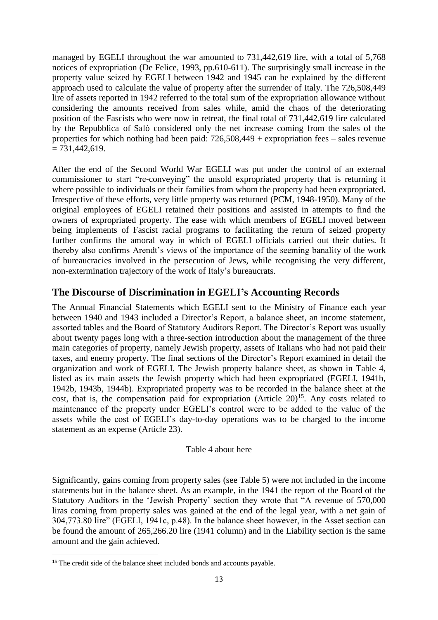managed by EGELI throughout the war amounted to 731,442,619 lire, with a total of 5,768 notices of expropriation (De Felice, 1993, pp.610-611). The surprisingly small increase in the property value seized by EGELI between 1942 and 1945 can be explained by the different approach used to calculate the value of property after the surrender of Italy. The 726,508,449 lire of assets reported in 1942 referred to the total sum of the expropriation allowance without considering the amounts received from sales while, amid the chaos of the deteriorating position of the Fascists who were now in retreat, the final total of 731,442,619 lire calculated by the Repubblica of Salò considered only the net increase coming from the sales of the properties for which nothing had been paid: 726,508,449 + expropriation fees – sales revenue  $= 731,442,619.$ 

After the end of the Second World War EGELI was put under the control of an external commissioner to start "re-conveying" the unsold expropriated property that is returning it where possible to individuals or their families from whom the property had been expropriated. Irrespective of these efforts, very little property was returned (PCM, 1948-1950). Many of the original employees of EGELI retained their positions and assisted in attempts to find the owners of expropriated property. The ease with which members of EGELI moved between being implements of Fascist racial programs to facilitating the return of seized property further confirms the amoral way in which of EGELI officials carried out their duties. It thereby also confirms Arendt's views of the importance of the seeming banality of the work of bureaucracies involved in the persecution of Jews, while recognising the very different, non-extermination trajectory of the work of Italy's bureaucrats.

#### **The Discourse of Discrimination in EGELI's Accounting Records**

The Annual Financial Statements which EGELI sent to the Ministry of Finance each year between 1940 and 1943 included a Director's Report, a balance sheet, an income statement, assorted tables and the Board of Statutory Auditors Report. The Director's Report was usually about twenty pages long with a three-section introduction about the management of the three main categories of property, namely Jewish property, assets of Italians who had not paid their taxes, and enemy property. The final sections of the Director's Report examined in detail the organization and work of EGELI. The Jewish property balance sheet, as shown in Table 4, listed as its main assets the Jewish property which had been expropriated (EGELI, 1941b, 1942b, 1943b, 1944b). Expropriated property was to be recorded in the balance sheet at the cost, that is, the compensation paid for expropriation (Article  $20$ )<sup>15</sup>. Any costs related to maintenance of the property under EGELI's control were to be added to the value of the assets while the cost of EGELI's day-to-day operations was to be charged to the income statement as an expense (Article 23).

#### Table 4 about here

Significantly, gains coming from property sales (see Table 5) were not included in the income statements but in the balance sheet. As an example, in the 1941 the report of the Board of the Statutory Auditors in the 'Jewish Property' section they wrote that "A revenue of 570,000 liras coming from property sales was gained at the end of the legal year, with a net gain of 304,773.80 lire" (EGELI, 1941c, p.48). In the balance sheet however, in the Asset section can be found the amount of 265,266.20 lire (1941 column) and in the Liability section is the same amount and the gain achieved.

<sup>&</sup>lt;sup>15</sup> The credit side of the balance sheet included bonds and accounts payable.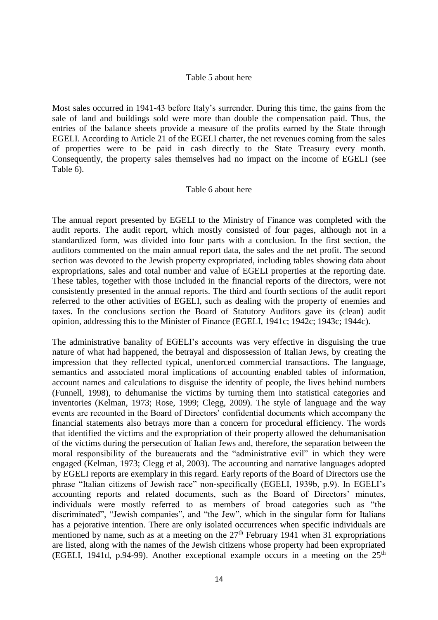#### Table 5 about here

Most sales occurred in 1941-43 before Italy's surrender. During this time, the gains from the sale of land and buildings sold were more than double the compensation paid. Thus, the entries of the balance sheets provide a measure of the profits earned by the State through EGELI. According to Article 21 of the EGELI charter, the net revenues coming from the sales of properties were to be paid in cash directly to the State Treasury every month. Consequently, the property sales themselves had no impact on the income of EGELI (see Table 6).

#### Table 6 about here

The annual report presented by EGELI to the Ministry of Finance was completed with the audit reports. The audit report, which mostly consisted of four pages, although not in a standardized form, was divided into four parts with a conclusion. In the first section, the auditors commented on the main annual report data, the sales and the net profit. The second section was devoted to the Jewish property expropriated, including tables showing data about expropriations, sales and total number and value of EGELI properties at the reporting date. These tables, together with those included in the financial reports of the directors, were not consistently presented in the annual reports. The third and fourth sections of the audit report referred to the other activities of EGELI, such as dealing with the property of enemies and taxes. In the conclusions section the Board of Statutory Auditors gave its (clean) audit opinion, addressing this to the Minister of Finance (EGELI, 1941c; 1942c; 1943c; 1944c).

The administrative banality of EGELI's accounts was very effective in disguising the true nature of what had happened, the betrayal and dispossession of Italian Jews, by creating the impression that they reflected typical, unenforced commercial transactions. The language, semantics and associated moral implications of accounting enabled tables of information, account names and calculations to disguise the identity of people, the lives behind numbers (Funnell, 1998), to dehumanise the victims by turning them into statistical categories and inventories (Kelman, 1973; Rose, 1999; Clegg, 2009). The style of language and the way events are recounted in the Board of Directors' confidential documents which accompany the financial statements also betrays more than a concern for procedural efficiency. The words that identified the victims and the expropriation of their property allowed the dehumanisation of the victims during the persecution of Italian Jews and, therefore, the separation between the moral responsibility of the bureaucrats and the "administrative evil" in which they were engaged (Kelman, 1973; Clegg et al, 2003). The accounting and narrative languages adopted by EGELI reports are exemplary in this regard. Early reports of the Board of Directors use the phrase "Italian citizens of Jewish race" non-specifically (EGELI, 1939b, p.9). In EGELI's accounting reports and related documents, such as the Board of Directors' minutes, individuals were mostly referred to as members of broad categories such as "the discriminated", "Jewish companies", and "the Jew", which in the singular form for Italians has a pejorative intention. There are only isolated occurrences when specific individuals are mentioned by name, such as at a meeting on the  $27<sup>th</sup>$  February 1941 when 31 expropriations are listed, along with the names of the Jewish citizens whose property had been expropriated (EGELI, 1941d, p.94-99). Another exceptional example occurs in a meeting on the  $25<sup>th</sup>$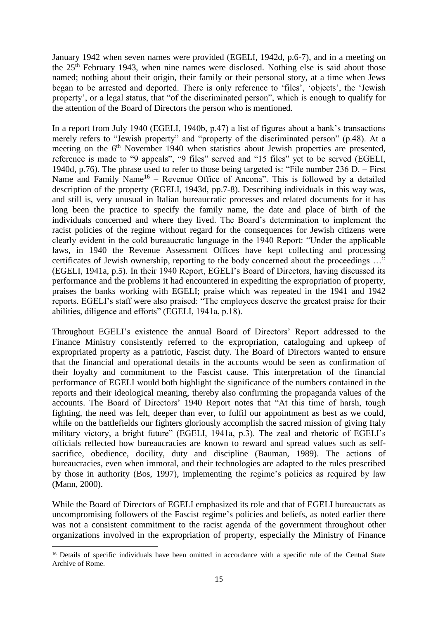January 1942 when seven names were provided (EGELI, 1942d, p.6-7), and in a meeting on the 25th February 1943, when nine names were disclosed. Nothing else is said about those named; nothing about their origin, their family or their personal story, at a time when Jews began to be arrested and deported. There is only reference to 'files', 'objects', the 'Jewish property', or a legal status, that "of the discriminated person", which is enough to qualify for the attention of the Board of Directors the person who is mentioned.

In a report from July 1940 (EGELI, 1940b, p.47) a list of figures about a bank's transactions merely refers to "Jewish property" and "property of the discriminated person" (p.48). At a meeting on the 6<sup>th</sup> November 1940 when statistics about Jewish properties are presented, reference is made to "9 appeals", "9 files" served and "15 files" yet to be served (EGELI, 1940d, p.76). The phrase used to refer to those being targeted is: "File number 236 D. – First Name and Family Name<sup>16</sup> – Revenue Office of Ancona". This is followed by a detailed description of the property (EGELI, 1943d, pp.7-8). Describing individuals in this way was, and still is, very unusual in Italian bureaucratic processes and related documents for it has long been the practice to specify the family name, the date and place of birth of the individuals concerned and where they lived. The Board's determination to implement the racist policies of the regime without regard for the consequences for Jewish citizens were clearly evident in the cold bureaucratic language in the 1940 Report: "Under the applicable laws, in 1940 the Revenue Assessment Offices have kept collecting and processing certificates of Jewish ownership, reporting to the body concerned about the proceedings …" (EGELI, 1941a, p.5). In their 1940 Report, EGELI's Board of Directors, having discussed its performance and the problems it had encountered in expediting the expropriation of property, praises the banks working with EGELI; praise which was repeated in the 1941 and 1942 reports. EGELI's staff were also praised: "The employees deserve the greatest praise for their abilities, diligence and efforts" (EGELI, 1941a, p.18).

Throughout EGELI's existence the annual Board of Directors' Report addressed to the Finance Ministry consistently referred to the expropriation, cataloguing and upkeep of expropriated property as a patriotic, Fascist duty. The Board of Directors wanted to ensure that the financial and operational details in the accounts would be seen as confirmation of their loyalty and commitment to the Fascist cause. This interpretation of the financial performance of EGELI would both highlight the significance of the numbers contained in the reports and their ideological meaning, thereby also confirming the propaganda values of the accounts. The Board of Directors' 1940 Report notes that "At this time of harsh, tough fighting, the need was felt, deeper than ever, to fulfil our appointment as best as we could, while on the battlefields our fighters gloriously accomplish the sacred mission of giving Italy military victory, a bright future" (EGELI, 1941a, p.3). The zeal and rhetoric of EGELI's officials reflected how bureaucracies are known to reward and spread values such as selfsacrifice, obedience, docility, duty and discipline (Bauman, 1989). The actions of bureaucracies, even when immoral, and their technologies are adapted to the rules prescribed by those in authority (Bos, 1997), implementing the regime's policies as required by law (Mann, 2000).

While the Board of Directors of EGELI emphasized its role and that of EGELI bureaucrats as uncompromising followers of the Fascist regime's policies and beliefs, as noted earlier there was not a consistent commitment to the racist agenda of the government throughout other organizations involved in the expropriation of property, especially the Ministry of Finance

<sup>&</sup>lt;sup>16</sup> Details of specific individuals have been omitted in accordance with a specific rule of the Central State Archive of Rome.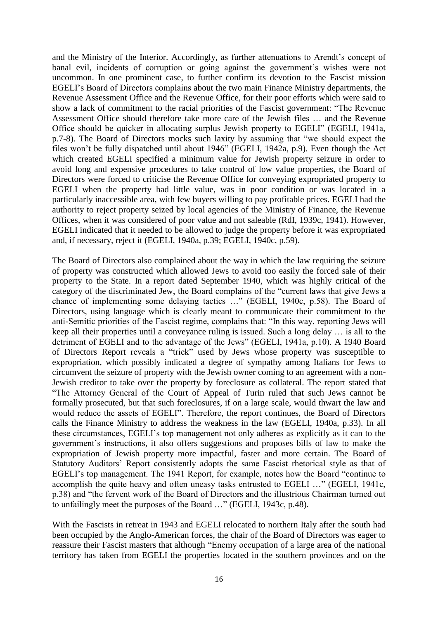and the Ministry of the Interior. Accordingly, as further attenuations to Arendt's concept of banal evil, incidents of corruption or going against the government's wishes were not uncommon. In one prominent case, to further confirm its devotion to the Fascist mission EGELI's Board of Directors complains about the two main Finance Ministry departments, the Revenue Assessment Office and the Revenue Office, for their poor efforts which were said to show a lack of commitment to the racial priorities of the Fascist government: "The Revenue Assessment Office should therefore take more care of the Jewish files … and the Revenue Office should be quicker in allocating surplus Jewish property to EGELI" (EGELI, 1941a, p.7-8). The Board of Directors mocks such laxity by assuming that "we should expect the files won't be fully dispatched until about 1946" (EGELI, 1942a, p.9). Even though the Act which created EGELI specified a minimum value for Jewish property seizure in order to avoid long and expensive procedures to take control of low value properties, the Board of Directors were forced to criticise the Revenue Office for conveying expropriated property to EGELI when the property had little value, was in poor condition or was located in a particularly inaccessible area, with few buyers willing to pay profitable prices. EGELI had the authority to reject property seized by local agencies of the Ministry of Finance, the Revenue Offices, when it was considered of poor value and not saleable (RdI, 1939c, 1941). However, EGELI indicated that it needed to be allowed to judge the property before it was expropriated and, if necessary, reject it (EGELI, 1940a, p.39; EGELI, 1940c, p.59).

The Board of Directors also complained about the way in which the law requiring the seizure of property was constructed which allowed Jews to avoid too easily the forced sale of their property to the State. In a report dated September 1940, which was highly critical of the category of the discriminated Jew, the Board complains of the "current laws that give Jews a chance of implementing some delaying tactics …" (EGELI, 1940c, p.58). The Board of Directors, using language which is clearly meant to communicate their commitment to the anti-Semitic priorities of the Fascist regime, complains that: "In this way, reporting Jews will keep all their properties until a conveyance ruling is issued. Such a long delay … is all to the detriment of EGELI and to the advantage of the Jews" (EGELI, 1941a, p.10). A 1940 Board of Directors Report reveals a "trick" used by Jews whose property was susceptible to expropriation, which possibly indicated a degree of sympathy among Italians for Jews to circumvent the seizure of property with the Jewish owner coming to an agreement with a non-Jewish creditor to take over the property by foreclosure as collateral. The report stated that "The Attorney General of the Court of Appeal of Turin ruled that such Jews cannot be formally prosecuted, but that such foreclosures, if on a large scale, would thwart the law and would reduce the assets of EGELI". Therefore, the report continues, the Board of Directors calls the Finance Ministry to address the weakness in the law (EGELI, 1940a, p.33). In all these circumstances, EGELI's top management not only adheres as explicitly as it can to the government's instructions, it also offers suggestions and proposes bills of law to make the expropriation of Jewish property more impactful, faster and more certain. The Board of Statutory Auditors' Report consistently adopts the same Fascist rhetorical style as that of EGELI's top management. The 1941 Report, for example, notes how the Board "continue to accomplish the quite heavy and often uneasy tasks entrusted to EGELI …" (EGELI, 1941c, p.38) and "the fervent work of the Board of Directors and the illustrious Chairman turned out to unfailingly meet the purposes of the Board …" (EGELI, 1943c, p.48).

With the Fascists in retreat in 1943 and EGELI relocated to northern Italy after the south had been occupied by the Anglo-American forces, the chair of the Board of Directors was eager to reassure their Fascist masters that although "Enemy occupation of a large area of the national territory has taken from EGELI the properties located in the southern provinces and on the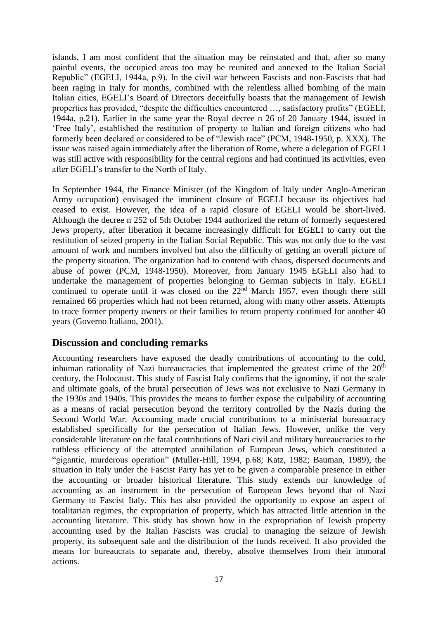islands, I am most confident that the situation may be reinstated and that, after so many painful events, the occupied areas too may be reunited and annexed to the Italian Social Republic" (EGELI, 1944a, p.9). In the civil war between Fascists and non-Fascists that had been raging in Italy for months, combined with the relentless allied bombing of the main Italian cities, EGELI's Board of Directors deceitfully boasts that the management of Jewish properties has provided, "despite the difficulties encountered …, satisfactory profits" (EGELI, 1944a, p.21). Earlier in the same year the Royal decree n 26 of 20 January 1944, issued in 'Free Italy', established the restitution of property to Italian and foreign citizens who had formerly been declared or considered to be of "Jewish race" (PCM, 1948-1950, p. XXX). The issue was raised again immediately after the liberation of Rome, where a delegation of EGELI was still active with responsibility for the central regions and had continued its activities, even after EGELI's transfer to the North of Italy.

In September 1944, the Finance Minister (of the Kingdom of Italy under Anglo-American Army occupation) envisaged the imminent closure of EGELI because its objectives had ceased to exist. However, the idea of a rapid closure of EGELI would be short-lived. Although the decree n 252 of 5th October 1944 authorized the return of formerly sequestered Jews property, after liberation it became increasingly difficult for EGELI to carry out the restitution of seized property in the Italian Social Republic. This was not only due to the vast amount of work and numbers involved but also the difficulty of getting an overall picture of the property situation. The organization had to contend with chaos, dispersed documents and abuse of power (PCM, 1948-1950). Moreover, from January 1945 EGELI also had to undertake the management of properties belonging to German subjects in Italy. EGELI continued to operate until it was closed on the  $22<sup>nd</sup>$  March 1957, even though there still remained 66 properties which had not been returned, along with many other assets. Attempts to trace former property owners or their families to return property continued for another 40 years (Governo Italiano, 2001).

#### **Discussion and concluding remarks**

Accounting researchers have exposed the deadly contributions of accounting to the cold, inhuman rationality of Nazi bureaucracies that implemented the greatest crime of the 20<sup>th</sup> century, the Holocaust. This study of Fascist Italy confirms that the ignominy, if not the scale and ultimate goals, of the brutal persecution of Jews was not exclusive to Nazi Germany in the 1930s and 1940s. This provides the means to further expose the culpability of accounting as a means of racial persecution beyond the territory controlled by the Nazis during the Second World War. Accounting made crucial contributions to a ministerial bureaucracy established specifically for the persecution of Italian Jews. However, unlike the very considerable literature on the fatal contributions of Nazi civil and military bureaucracies to the ruthless efficiency of the attempted annihilation of European Jews, which constituted a "gigantic, murderous operation" (Muller-Hill, 1994, p.68; Katz, 1982; Bauman, 1989), the situation in Italy under the Fascist Party has yet to be given a comparable presence in either the accounting or broader historical literature. This study extends our knowledge of accounting as an instrument in the persecution of European Jews beyond that of Nazi Germany to Fascist Italy. This has also provided the opportunity to expose an aspect of totalitarian regimes, the expropriation of property, which has attracted little attention in the accounting literature. This study has shown how in the expropriation of Jewish property accounting used by the Italian Fascists was crucial to managing the seizure of Jewish property, its subsequent sale and the distribution of the funds received. It also provided the means for bureaucrats to separate and, thereby, absolve themselves from their immoral actions.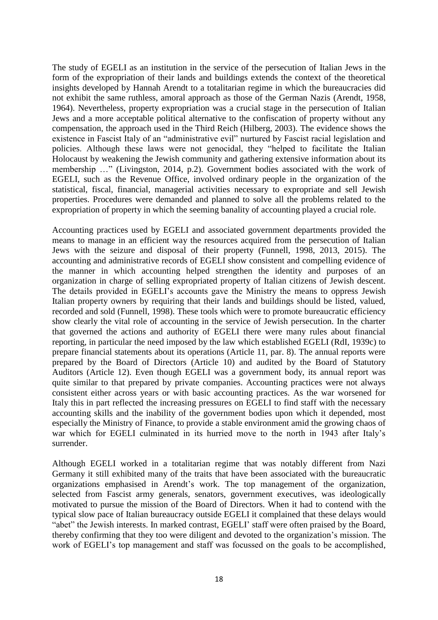The study of EGELI as an institution in the service of the persecution of Italian Jews in the form of the expropriation of their lands and buildings extends the context of the theoretical insights developed by Hannah Arendt to a totalitarian regime in which the bureaucracies did not exhibit the same ruthless, amoral approach as those of the German Nazis (Arendt, 1958, 1964). Nevertheless, property expropriation was a crucial stage in the persecution of Italian Jews and a more acceptable political alternative to the confiscation of property without any compensation, the approach used in the Third Reich (Hilberg, 2003). The evidence shows the existence in Fascist Italy of an "administrative evil" nurtured by Fascist racial legislation and policies. Although these laws were not genocidal, they "helped to facilitate the Italian Holocaust by weakening the Jewish community and gathering extensive information about its membership …" (Livingston, 2014, p.2). Government bodies associated with the work of EGELI, such as the Revenue Office, involved ordinary people in the organization of the statistical, fiscal, financial, managerial activities necessary to expropriate and sell Jewish properties. Procedures were demanded and planned to solve all the problems related to the expropriation of property in which the seeming banality of accounting played a crucial role.

Accounting practices used by EGELI and associated government departments provided the means to manage in an efficient way the resources acquired from the persecution of Italian Jews with the seizure and disposal of their property (Funnell, 1998, 2013, 2015). The accounting and administrative records of EGELI show consistent and compelling evidence of the manner in which accounting helped strengthen the identity and purposes of an organization in charge of selling expropriated property of Italian citizens of Jewish descent. The details provided in EGELI's accounts gave the Ministry the means to oppress Jewish Italian property owners by requiring that their lands and buildings should be listed, valued, recorded and sold (Funnell, 1998). These tools which were to promote bureaucratic efficiency show clearly the vital role of accounting in the service of Jewish persecution. In the charter that governed the actions and authority of EGELI there were many rules about financial reporting, in particular the need imposed by the law which established EGELI (RdI, 1939c) to prepare financial statements about its operations (Article 11, par. 8). The annual reports were prepared by the Board of Directors (Article 10) and audited by the Board of Statutory Auditors (Article 12). Even though EGELI was a government body, its annual report was quite similar to that prepared by private companies. Accounting practices were not always consistent either across years or with basic accounting practices. As the war worsened for Italy this in part reflected the increasing pressures on EGELI to find staff with the necessary accounting skills and the inability of the government bodies upon which it depended, most especially the Ministry of Finance, to provide a stable environment amid the growing chaos of war which for EGELI culminated in its hurried move to the north in 1943 after Italy's surrender.

Although EGELI worked in a totalitarian regime that was notably different from Nazi Germany it still exhibited many of the traits that have been associated with the bureaucratic organizations emphasised in Arendt's work. The top management of the organization, selected from Fascist army generals, senators, government executives, was ideologically motivated to pursue the mission of the Board of Directors. When it had to contend with the typical slow pace of Italian bureaucracy outside EGELI it complained that these delays would "abet" the Jewish interests. In marked contrast, EGELI' staff were often praised by the Board, thereby confirming that they too were diligent and devoted to the organization's mission. The work of EGELI's top management and staff was focussed on the goals to be accomplished,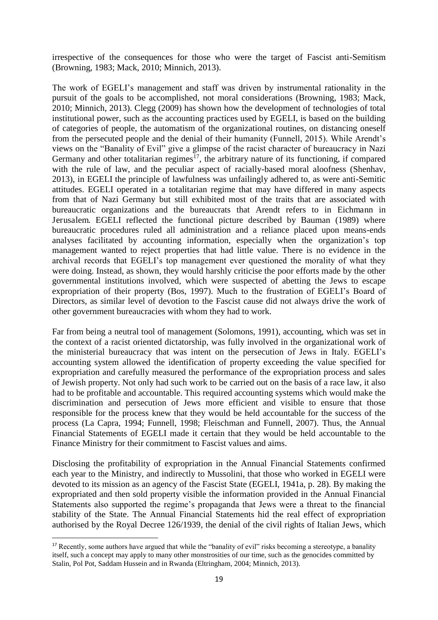irrespective of the consequences for those who were the target of Fascist anti-Semitism (Browning, 1983; Mack, 2010; Minnich, 2013).

The work of EGELI's management and staff was driven by instrumental rationality in the pursuit of the goals to be accomplished, not moral considerations (Browning, 1983; Mack, 2010; Minnich, 2013). Clegg (2009) has shown how the development of technologies of total institutional power, such as the accounting practices used by EGELI, is based on the building of categories of people, the automatism of the organizational routines, on distancing oneself from the persecuted people and the denial of their humanity (Funnell, 2015). While Arendt's views on the "Banality of Evil" give a glimpse of the racist character of bureaucracy in Nazi Germany and other totalitarian regimes<sup>17</sup>, the arbitrary nature of its functioning, if compared with the rule of law, and the peculiar aspect of racially-based moral aloofness (Shenhav, 2013), in EGELI the principle of lawfulness was unfailingly adhered to, as were anti-Semitic attitudes. EGELI operated in a totalitarian regime that may have differed in many aspects from that of Nazi Germany but still exhibited most of the traits that are associated with bureaucratic organizations and the bureaucrats that Arendt refers to in Eichmann in Jerusalem. EGELI reflected the functional picture described by Bauman (1989) where bureaucratic procedures ruled all administration and a reliance placed upon means-ends analyses facilitated by accounting information, especially when the organization's top management wanted to reject properties that had little value. There is no evidence in the archival records that EGELI's top management ever questioned the morality of what they were doing. Instead, as shown, they would harshly criticise the poor efforts made by the other governmental institutions involved, which were suspected of abetting the Jews to escape expropriation of their property (Bos, 1997). Much to the frustration of EGELI's Board of Directors, as similar level of devotion to the Fascist cause did not always drive the work of other government bureaucracies with whom they had to work.

Far from being a neutral tool of management (Solomons, 1991), accounting, which was set in the context of a racist oriented dictatorship, was fully involved in the organizational work of the ministerial bureaucracy that was intent on the persecution of Jews in Italy. EGELI's accounting system allowed the identification of property exceeding the value specified for expropriation and carefully measured the performance of the expropriation process and sales of Jewish property. Not only had such work to be carried out on the basis of a race law, it also had to be profitable and accountable. This required accounting systems which would make the discrimination and persecution of Jews more efficient and visible to ensure that those responsible for the process knew that they would be held accountable for the success of the process (La Capra, 1994; Funnell, 1998; Fleischman and Funnell, 2007). Thus, the Annual Financial Statements of EGELI made it certain that they would be held accountable to the Finance Ministry for their commitment to Fascist values and aims.

Disclosing the profitability of expropriation in the Annual Financial Statements confirmed each year to the Ministry, and indirectly to Mussolini, that those who worked in EGELI were devoted to its mission as an agency of the Fascist State (EGELI, 1941a, p. 28). By making the expropriated and then sold property visible the information provided in the Annual Financial Statements also supported the regime's propaganda that Jews were a threat to the financial stability of the State. The Annual Financial Statements hid the real effect of expropriation authorised by the Royal Decree 126/1939, the denial of the civil rights of Italian Jews, which

 $\overline{a}$ 

<sup>&</sup>lt;sup>17</sup> Recently, some authors have argued that while the "banality of evil" risks becoming a stereotype, a banality itself, such a concept may apply to many other monstrosities of our time, such as the genocides committed by Stalin, Pol Pot, Saddam Hussein and in Rwanda (Eltringham, 2004; Minnich, 2013).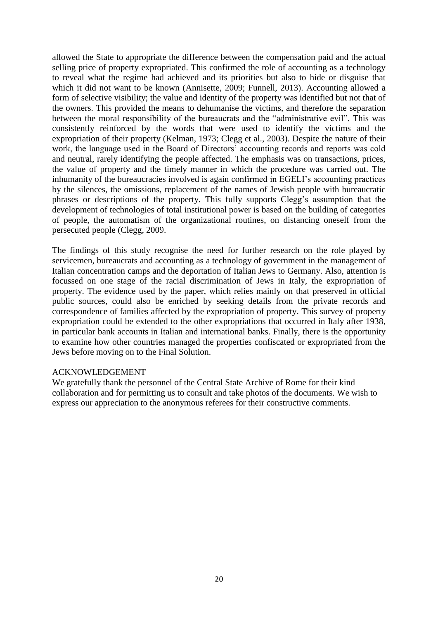allowed the State to appropriate the difference between the compensation paid and the actual selling price of property expropriated. This confirmed the role of accounting as a technology to reveal what the regime had achieved and its priorities but also to hide or disguise that which it did not want to be known (Annisette, 2009; Funnell, 2013). Accounting allowed a form of selective visibility; the value and identity of the property was identified but not that of the owners. This provided the means to dehumanise the victims, and therefore the separation between the moral responsibility of the bureaucrats and the "administrative evil". This was consistently reinforced by the words that were used to identify the victims and the expropriation of their property (Kelman, 1973; Clegg et al., 2003). Despite the nature of their work, the language used in the Board of Directors' accounting records and reports was cold and neutral, rarely identifying the people affected. The emphasis was on transactions, prices, the value of property and the timely manner in which the procedure was carried out. The inhumanity of the bureaucracies involved is again confirmed in EGELI's accounting practices by the silences, the omissions, replacement of the names of Jewish people with bureaucratic phrases or descriptions of the property. This fully supports Clegg's assumption that the development of technologies of total institutional power is based on the building of categories of people, the automatism of the organizational routines, on distancing oneself from the persecuted people (Clegg, 2009.

The findings of this study recognise the need for further research on the role played by servicemen, bureaucrats and accounting as a technology of government in the management of Italian concentration camps and the deportation of Italian Jews to Germany. Also, attention is focussed on one stage of the racial discrimination of Jews in Italy, the expropriation of property. The evidence used by the paper, which relies mainly on that preserved in official public sources, could also be enriched by seeking details from the private records and correspondence of families affected by the expropriation of property. This survey of property expropriation could be extended to the other expropriations that occurred in Italy after 1938, in particular bank accounts in Italian and international banks. Finally, there is the opportunity to examine how other countries managed the properties confiscated or expropriated from the Jews before moving on to the Final Solution.

#### ACKNOWLEDGEMENT

We gratefully thank the personnel of the Central State Archive of Rome for their kind collaboration and for permitting us to consult and take photos of the documents. We wish to express our appreciation to the anonymous referees for their constructive comments.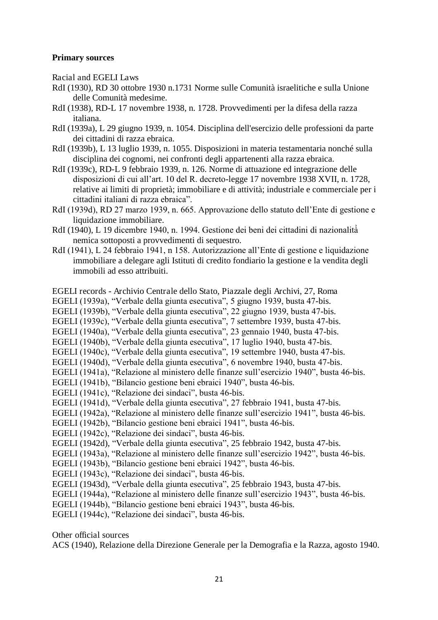#### **Primary sources**

Racial and EGELI Laws

- RdI (1930), RD 30 ottobre 1930 n.1731 Norme sulle Comunità israelitiche e sulla Unione delle Comunità medesime.
- RdI (1938), RD-L 17 novembre 1938, n. 1728. Provvedimenti per la difesa della razza italiana.
- RdI (1939a), L 29 giugno 1939, n. 1054. Disciplina dell'esercizio delle professioni da parte dei cittadini di razza ebraica.
- RdI (1939b), L 13 luglio 1939, n. 1055. Disposizioni in materia testamentaria nonché sulla disciplina dei cognomi, nei confronti degli appartenenti alla razza ebraica.
- RdI (1939c), RD-L 9 febbraio 1939, n. 126. Norme di attuazione ed integrazione delle disposizioni di cui all'art. 10 del R. decreto-legge 17 novembre 1938 XVII, n. 1728, relative ai limiti di proprietà; immobiliare e di attività; industriale e commerciale per i cittadini italiani di razza ebraica".
- RdI (1939d), RD 27 marzo 1939, n. 665. Approvazione dello statuto dell'Ente di gestione e liquidazione immobiliare.
- RdI (1940), L 19 dicembre 1940, n. 1994. Gestione dei beni dei cittadini di nazionalità nemica sottoposti a provvedimenti di sequestro.
- RdI (1941), L 24 febbraio 1941, n 158. Autorizzazione all'Ente di gestione e liquidazione immobiliare a delegare agli Istituti di credito fondiario la gestione e la vendita degli immobili ad esso attribuiti.

EGELI records - Archivio Centrale dello Stato, Piazzale degli Archivi, 27, Roma EGELI (1939a), "Verbale della giunta esecutiva", 5 giugno 1939, busta 47-bis. EGELI (1939b), "Verbale della giunta esecutiva", 22 giugno 1939, busta 47-bis. EGELI (1939c), "Verbale della giunta esecutiva", 7 settembre 1939, busta 47-bis. EGELI (1940a), "Verbale della giunta esecutiva", 23 gennaio 1940, busta 47-bis. EGELI (1940b), "Verbale della giunta esecutiva", 17 luglio 1940, busta 47-bis. EGELI (1940c), "Verbale della giunta esecutiva", 19 settembre 1940, busta 47-bis. EGELI (1940d), "Verbale della giunta esecutiva", 6 novembre 1940, busta 47-bis. EGELI (1941a), "Relazione al ministero delle finanze sull'esercizio 1940", busta 46-bis. EGELI (1941b), "Bilancio gestione beni ebraici 1940", busta 46-bis. EGELI (1941c), "Relazione dei sindaci", busta 46-bis. EGELI (1941d), "Verbale della giunta esecutiva", 27 febbraio 1941, busta 47-bis. EGELI (1942a), "Relazione al ministero delle finanze sull'esercizio 1941", busta 46-bis. EGELI (1942b), "Bilancio gestione beni ebraici 1941", busta 46-bis. EGELI (1942c), "Relazione dei sindaci", busta 46-bis. EGELI (1942d), "Verbale della giunta esecutiva", 25 febbraio 1942, busta 47-bis. EGELI (1943a), "Relazione al ministero delle finanze sull'esercizio 1942", busta 46-bis. EGELI (1943b), "Bilancio gestione beni ebraici 1942", busta 46-bis. EGELI (1943c), "Relazione dei sindaci", busta 46-bis. EGELI (1943d), "Verbale della giunta esecutiva", 25 febbraio 1943, busta 47-bis. EGELI (1944a), "Relazione al ministero delle finanze sull'esercizio 1943", busta 46-bis. EGELI (1944b), "Bilancio gestione beni ebraici 1943", busta 46-bis. EGELI (1944c), "Relazione dei sindaci", busta 46-bis.

Other official sources

ACS (1940), Relazione della Direzione Generale per la Demografia e la Razza, agosto 1940.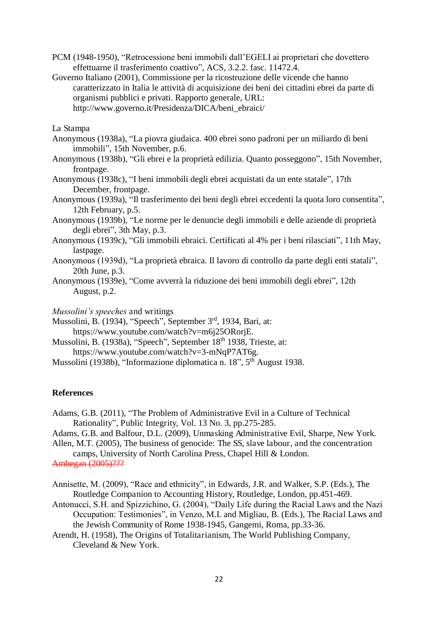PCM (1948-1950), "Retrocessione beni immobili dall'EGELI ai proprietari che dovettero effettuarne il trasferimento coattivo", ACS, 3.2.2. fasc. 11472.4.

Governo Italiano (2001), Commissione per la ricostruzione delle vicende che hanno caratterizzato in Italia le attività di acquisizione dei beni dei cittadini ebrei da parte di organismi pubblici e privati. Rapporto generale, URL: http://www.governo.it/Presidenza/DICA/beni\_ebraici/

La Stampa

- Anonymous (1938a), "La piovra giudaica. 400 ebrei sono padroni per un miliardo di beni immobili", 15th November, p.6.
- Anonymous (1938b), "Gli ebrei e la proprietà edilizia. Quanto posseggono", 15th November, frontpage.
- Anonymous (1938c), "I beni immobili degli ebrei acquistati da un ente statale", 17th December, frontpage.
- Anonymous (1939a), "Il trasferimento dei beni degli ebrei eccedenti la quota loro consentita", 12th February, p.5.
- Anonymous (1939b), "Le norme per le denuncie degli immobili e delle aziende di proprietà degli ebrei", 3th May, p.3.
- Anonymous (1939c), "Gli immobili ebraici. Certificati al 4% per i beni rilasciati", 11th May, lastpage.
- Anonymous (1939d), "La proprietà ebraica. Il lavoro di controllo da parte degli enti statali", 20th June, p.3.
- Anonymous (1939e), "Come avverrà la riduzione dei beni immobili degli ebrei", 12th August, p.2.

*Mussolini's speeches* and writings

Mussolini, B. (1934), "Speech", September 3rd, 1934, Bari, at: https://www.youtube.com/watch?v=m6j25ORorjE.

- Mussolini, B. (1938a), "Speech", September 18<sup>th</sup> 1938, Trieste, at: https://www.youtube.com/watch?v=3-mNqP7AT6g.
- Mussolini (1938b), "Informazione diplomatica n. 18", 5th August 1938.

#### **References**

- Adams, G.B. (2011), "The Problem of Administrative Evil in a Culture of Technical Rationality", Public Integrity, Vol. 13 No. 3, pp.275-285.
- Adams, G.B. and Balfour, D.L. (2009), Unmasking Administrative Evil, Sharpe, New York.

Allen, M.T. (2005), The business of genocide: The SS, slave labour, and the concentration camps, University of North Carolina Press, Chapel Hill & London.

Ambegan (2005)???

Annisette, M. (2009), "Race and ethnicity", in Edwards, J.R. and Walker, S.P. (Eds.), The Routledge Companion to Accounting History, Routledge, London, pp.451-469.

- Antonucci, S.H. and Spizzichino, G. (2004), "Daily Life during the Racial Laws and the Nazi Occupation: Testimonies", in Venzo, M.I. and Migliau, B. (Eds.), The Racial Laws and the Jewish Community of Rome 1938-1945, Gangemi, Roma, pp.33-36.
- Arendt, H. (1958), The Origins of Totalitarianism, The World Publishing Company, Cleveland & New York.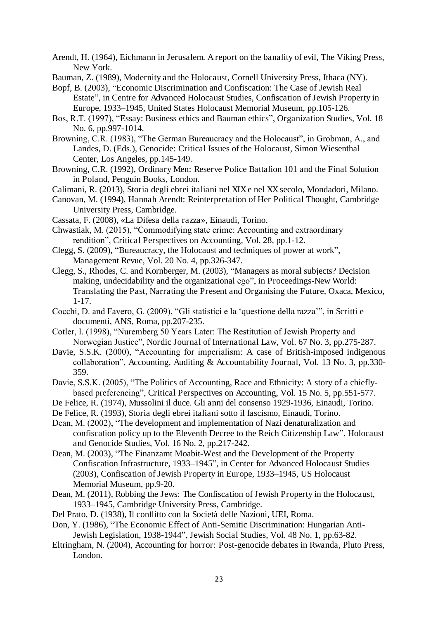Arendt, H. (1964), Eichmann in Jerusalem. A report on the banality of evil, The Viking Press, New York.

- Bauman, Z. (1989), Modernity and the Holocaust, Cornell University Press, Ithaca (NY).
- Bopf, B. (2003), "Economic Discrimination and Confiscation: The Case of Jewish Real Estate", in Centre for Advanced Holocaust Studies, Confiscation of Jewish Property in Europe, 1933*–*1945, United States Holocaust Memorial Museum, pp.105-126.
- Bos, R.T. (1997), "Essay: Business ethics and Bauman ethics", Organization Studies, Vol. 18 No. 6, pp.997-1014.
- Browning, C.R. (1983), "The German Bureaucracy and the Holocaust", in Grobman, A., and Landes, D. (Eds.), Genocide: Critical Issues of the Holocaust, Simon Wiesenthal Center, Los Angeles, pp.145-149.
- Browning, C.R. (1992), Ordinary Men: Reserve Police Battalion 101 and the Final Solution in Poland, Penguin Books, London.
- Calimani, R. (2013), Storia degli ebrei italiani nel XIX e nel XX secolo, Mondadori, Milano.
- Canovan, M. (1994), Hannah Arendt: Reinterpretation of Her Political Thought, Cambridge University Press, Cambridge.
- Cassata, F. (2008), «La Difesa della razza», Einaudi, Torino.
- Chwastiak, M. (2015), "Commodifying state crime: Accounting and extraordinary rendition", Critical Perspectives on Accounting, Vol. 28, pp.1-12.
- Clegg, S. (2009), "Bureaucracy, the Holocaust and techniques of power at work", Management Revue, Vol. 20 No. 4, pp.326-347.
- Clegg, S., Rhodes, C. and Kornberger, M. (2003), "Managers as moral subjects? Decision making, undecidability and the organizational ego", in Proceedings-New World: Translating the Past, Narrating the Present and Organising the Future, Oxaca, Mexico, 1-17.
- Cocchi, D. and Favero, G. (2009), "Gli statistici e la 'questione della razza'", in Scritti e documenti, ANS, Roma, pp.207-235.
- Cotler, I. (1998), "Nuremberg 50 Years Later: The Restitution of Jewish Property and Norwegian Justice", Nordic Journal of International Law, Vol. 67 No. 3, pp.275-287.
- Davie, S.S.K. (2000), "Accounting for imperialism: A case of British-imposed indigenous collaboration", Accounting, Auditing & Accountability Journal, Vol. 13 No. 3, pp.330- 359.
- Davie, S.S.K. (2005), "The Politics of Accounting, Race and Ethnicity: A story of a chieflybased preferencing", Critical Perspectives on Accounting, Vol. 15 No. 5, pp.551-577.
- De Felice, R. (1974), Mussolini il duce. Gli anni del consenso 1929-1936, Einaudi, Torino.
- De Felice, R. (1993), Storia degli ebrei italiani sotto il fascismo, Einaudi, Torino.
- Dean, M. (2002), "The development and implementation of Nazi denaturalization and confiscation policy up to the Eleventh Decree to the Reich Citizenship Law", Holocaust and Genocide Studies, Vol. 16 No. 2, pp.217-242.
- Dean, M. (2003), "The Finanzamt Moabit-West and the Development of the Property Confiscation Infrastructure, 1933–1945", in Center for Advanced Holocaust Studies (2003), Confiscation of Jewish Property in Europe, 1933*–*1945, US Holocaust Memorial Museum, pp.9-20.
- Dean, M. (2011), Robbing the Jews: The Confiscation of Jewish Property in the Holocaust, 1933*–*1945, Cambridge University Press, Cambridge.
- Del Prato, D. (1938), Il conflitto con la Società delle Nazioni, UEI, Roma.
- Don, Y. (1986), "The Economic Effect of Anti-Semitic Discrimination: Hungarian Anti-Jewish Legislation, 1938-1944", Jewish Social Studies, Vol. 48 No. 1, pp.63-82.
- Eltringham, N. (2004), Accounting for horror: Post-genocide debates in Rwanda, Pluto Press, London.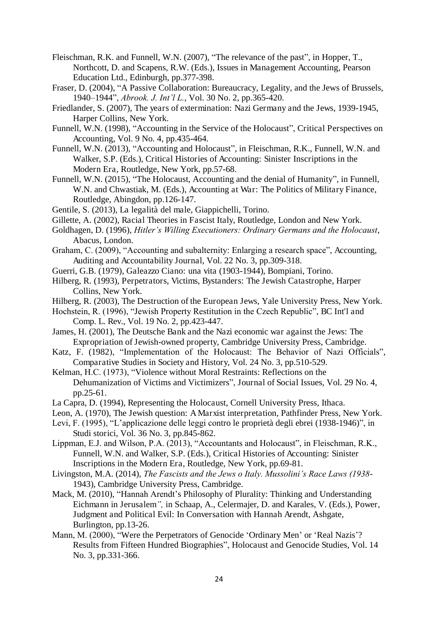- Fleischman, R.K. and Funnell, W.N. (2007), "The relevance of the past", in Hopper, T., Northcott, D. and Scapens, R.W. (Eds.), Issues in Management Accounting, Pearson Education Ltd., Edinburgh, pp.377-398.
- Fraser, D. (2004), "A Passive Collaboration: Bureaucracy, Legality, and the Jews of Brussels, 1940–1944", *Abrook. J. Int'l L.*, Vol. 30 No. 2, pp.365-420.
- Friedlander, S. (2007), The years of extermination: Nazi Germany and the Jews, 1939-1945, Harper Collins, New York.
- Funnell, W.N. (1998), "Accounting in the Service of the Holocaust", Critical Perspectives on Accounting, Vol. 9 No. 4, pp.435-464.
- Funnell, W.N. (2013), "Accounting and Holocaust", in Fleischman, R.K., Funnell, W.N. and Walker, S.P. (Eds.), Critical Histories of Accounting: Sinister Inscriptions in the Modern Era, Routledge, New York, pp.57-68.
- Funnell, W.N. (2015), "The Holocaust, Accounting and the denial of Humanity", in Funnell, W.N. and Chwastiak, M. (Eds.), Accounting at War: The Politics of Military Finance, Routledge, Abingdon, pp.126-147.
- Gentile, S. (2013), La legalità del male, Giappichelli, Torino.
- Gillette, A. (2002), Racial Theories in Fascist Italy, Routledge, London and New York.
- Goldhagen, D. (1996), *Hitler's Willing Executioners: Ordinary Germans and the Holocaust*, Abacus, London.
- Graham, C. (2009), "Accounting and subalternity: Enlarging a research space", Accounting, Auditing and Accountability Journal, Vol. 22 No. 3, pp.309-318.
- Guerri, G.B. (1979), Galeazzo Ciano: una vita (1903-1944), Bompiani, Torino.
- Hilberg, R. (1993), Perpetrators, Victims, Bystanders: The Jewish Catastrophe, Harper Collins, New York.
- Hilberg, R. (2003), The Destruction of the European Jews, Yale University Press, New York.
- Hochstein, R. (1996), "Jewish Property Restitution in the Czech Republic", BC Int'l and Comp. L. Rev., Vol. 19 No. 2, pp.423-447.
- James, H. (2001), The Deutsche Bank and the Nazi economic war against the Jews: The Expropriation of Jewish-owned property, Cambridge University Press, Cambridge.
- Katz, F. (1982), "Implementation of the Holocaust: The Behavior of Nazi Officials", Comparative Studies in Society and History, Vol. 24 No. 3, pp.510-529.
- Kelman, H.C. (1973), "Violence without Moral Restraints: Reflections on the Dehumanization of Victims and Victimizers", Journal of Social Issues, Vol. 29 No. 4, pp.25-61.
- La Capra, D. (1994), Representing the Holocaust, Cornell University Press, Ithaca.
- Leon, A. (1970), The Jewish question: A Marxist interpretation, Pathfinder Press, New York.
- Levi, F. (1995), "L'applicazione delle leggi contro le proprietà degli ebrei (1938-1946)", in Studi storici, Vol. 36 No. 3, pp.845-862.
- Lippman, E.J. and Wilson, P.A. (2013), "Accountants and Holocaust", in Fleischman, R.K., Funnell, W.N. and Walker, S.P. (Eds.), Critical Histories of Accounting: Sinister Inscriptions in the Modern Era, Routledge, New York, pp.69-81.
- Livingston, M.A. (2014), *The Fascists and the Jews o Italy. Mussolini's Race Laws (1938* 1943), Cambridge University Press, Cambridge.
- Mack, M. (2010), "Hannah Arendt's Philosophy of Plurality: Thinking and Understanding Eichmann in Jerusalem*",* in Schaap, A., Celermajer, D. and Karales, V. (Eds.), Power, Judgment and Political Evil: In Conversation with Hannah Arendt, Ashgate, Burlington, pp.13-26.
- Mann, M. (2000), "Were the Perpetrators of Genocide 'Ordinary Men' or 'Real Nazis'? Results from Fifteen Hundred Biographies", Holocaust and Genocide Studies, Vol. 14 No. 3, pp.331-366.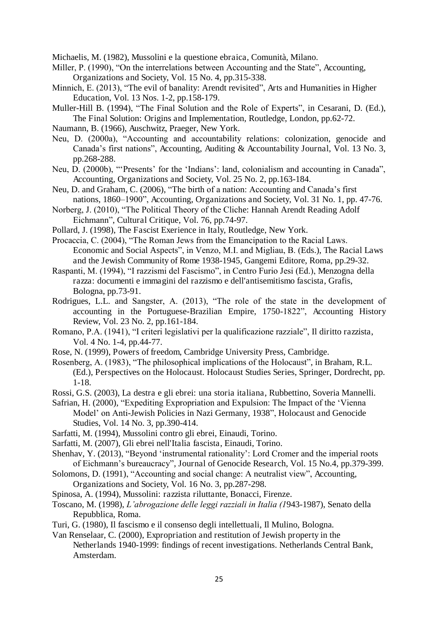Michaelis, M. (1982), Mussolini e la questione ebraica, Comunità, Milano.

Miller, P. (1990), "On the interrelations between Accounting and the State", Accounting, Organizations and Society, Vol. 15 No. 4, pp.315-338.

- Minnich, E. (2013), "The evil of banality: Arendt revisited", Arts and Humanities in Higher Education, Vol. 13 Nos. 1-2, pp.158-179.
- Muller-Hill B. (1994), "The Final Solution and the Role of Experts", in Cesarani, D. (Ed.), The Final Solution: Origins and Implementation, Routledge, London, pp.62-72.
- Naumann, B. (1966), Auschwitz, Praeger, New York.
- Neu, D. (2000a), "Accounting and accountability relations: colonization, genocide and Canada's first nations", Accounting, Auditing & Accountability Journal, Vol. 13 No. 3, pp.268-288.
- Neu, D. (2000b), "'Presents' for the 'Indians': land, colonialism and accounting in Canada", Accounting, Organizations and Society, Vol. 25 No. 2, pp.163-184.
- Neu, D. and Graham, C. (2006), "The birth of a nation: Accounting and Canada's first nations, 1860–1900", Accounting, Organizations and Society, Vol. 31 No. 1, pp. 47-76.
- Norberg, J. (2010), "The Political Theory of the Cliche: Hannah Arendt Reading Adolf Eichmann", Cultural Critique, Vol. 76, pp.74-97.
- Pollard, J. (1998), The Fascist Exerience in Italy, Routledge, New York.
- Procaccia, C. (2004), "The Roman Jews from the Emancipation to the Racial Laws. Economic and Social Aspects", in Venzo, M.I. and Migliau, B. (Eds.), The Racial Laws and the Jewish Community of Rome 1938-1945, Gangemi Editore, Roma, pp.29-32.
- Raspanti, M. (1994), "I razzismi del Fascismo", in Centro Furio Jesi (Ed.), Menzogna della razza: documenti e immagini del razzismo e dell'antisemitismo fascista, Grafis, Bologna, pp.73-91.
- Rodrigues, L.L. and Sangster, A. (2013), "The role of the state in the development of accounting in the Portuguese-Brazilian Empire, 1750-1822", Accounting History Review, Vol. 23 No. 2, pp.161-184.
- Romano, P.A. (1941), "I criteri legislativi per la qualificazione razziale", Il diritto razzista, Vol. 4 No. 1-4, pp.44-77.
- Rose, N. (1999), Powers of freedom, Cambridge University Press, Cambridge.
- Rosenberg, A. (1983), "The philosophical implications of the Holocaust", in Braham, R.L. (Ed.), Perspectives on the Holocaust. Holocaust Studies Series, Springer, Dordrecht, pp. 1-18.
- Rossi, G.S. (2003), La destra e gli ebrei: una storia italiana, Rubbettino, Soveria Mannelli.
- Safrian, H. (2000), "Expediting Expropriation and Expulsion: The Impact of the 'Vienna Model' on Anti-Jewish Policies in Nazi Germany, 1938", Holocaust and Genocide Studies, Vol. 14 No. 3, pp.390-414.
- Sarfatti, M. (1994), Mussolini contro gli ebrei, Einaudi, Torino.
- Sarfatti, M. (2007), Gli ebrei nell'Italia fascista, Einaudi, Torino.
- Shenhav, Y. (2013), "Beyond 'instrumental rationality': Lord Cromer and the imperial roots of Eichmann's bureaucracy", Journal of Genocide Research, Vol. 15 No.4, pp.379-399.
- Solomons, D. (1991), "Accounting and social change: A neutralist view", Accounting, Organizations and Society, Vol. 16 No. 3, pp.287-298.
- Spinosa, A. (1994), Mussolini: razzista riluttante, Bonacci, Firenze.
- Toscano, M. (1998), *L'abrogazione delle leggi razziali in Italia (1*943-1987), Senato della Repubblica, Roma.
- Turi, G. (1980), Il fascismo e il consenso degli intellettuali, Il Mulino, Bologna.
- Van Renselaar, C. (2000), Expropriation and restitution of Jewish property in the Netherlands 1940-1999: findings of recent investigations. Netherlands Central Bank, Amsterdam.